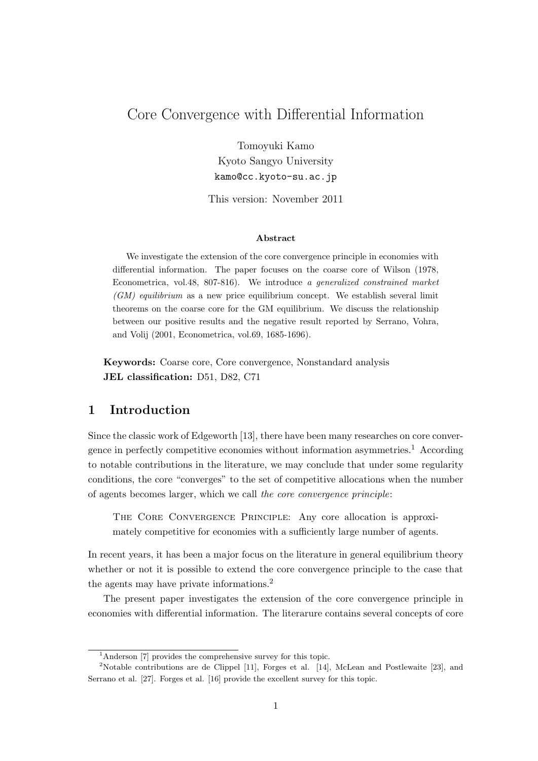# Core Convergence with Differential Information

Tomoyuki Kamo Kyoto Sangyo University kamo@cc.kyoto-su.ac.jp

This version: November 2011

#### **Abstract**

We investigate the extension of the core convergence principle in economies with differential information. The paper focuses on the coarse core of Wilson (1978, Econometrica, vol.48, 807-816). We introduce *a generalized constrained market (GM) equilibrium* as a new price equilibrium concept. We establish several limit theorems on the coarse core for the GM equilibrium. We discuss the relationship between our positive results and the negative result reported by Serrano, Vohra, and Volij (2001, Econometrica, vol.69, 1685-1696).

**Keywords:** Coarse core, Core convergence, Nonstandard analysis **JEL classification:** D51, D82, C71

## **1 Introduction**

Since the classic work of Edgeworth [13], there have been many researches on core convergence in perfectly competitive economies without information asymmetries.<sup>1</sup> According to notable contributions in the literature, we may conclude that under some regularity conditions, the core "converges" to the set of competitive allocations when the number of agents becomes larger, which we call *the core convergence principle*:

The Core Convergence Principle: Any core allocation is approximately competitive for economies with a sufficiently large number of agents.

In recent years, it has been a major focus on the literature in general equilibrium theory whether or not it is possible to extend the core convergence principle to the case that the agents may have private informations.<sup>2</sup>

The present paper investigates the extension of the core convergence principle in economies with differential information. The literarure contains several concepts of core

<sup>1</sup>Anderson [7] provides the comprehensive survey for this topic.

<sup>2</sup>Notable contributions are de Clippel [11], Forges et al. [14], McLean and Postlewaite [23], and Serrano et al. [27]. Forges et al. [16] provide the excellent survey for this topic.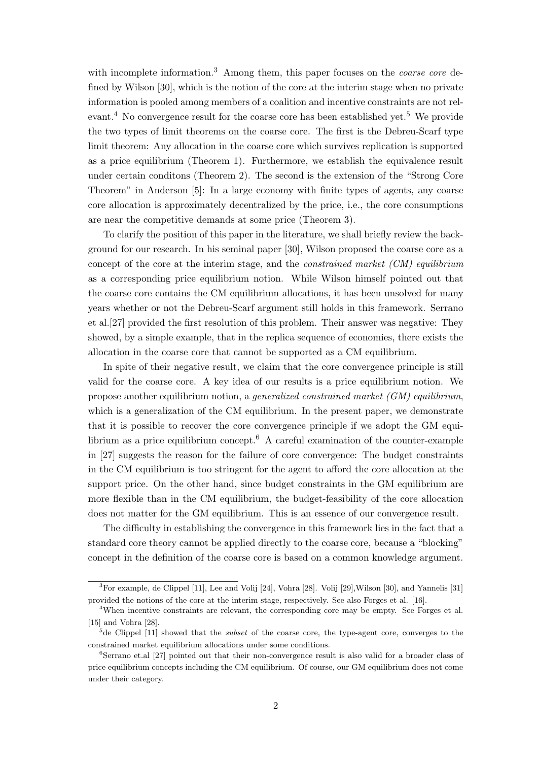with incomplete information.<sup>3</sup> Among them, this paper focuses on the *coarse core* defined by Wilson [30], which is the notion of the core at the interim stage when no private information is pooled among members of a coalition and incentive constraints are not relevant.<sup>4</sup> No convergence result for the coarse core has been established yet.<sup>5</sup> We provide the two types of limit theorems on the coarse core. The first is the Debreu-Scarf type limit theorem: Any allocation in the coarse core which survives replication is supported as a price equilibrium (Theorem 1). Furthermore, we establish the equivalence result under certain conditons (Theorem 2). The second is the extension of the "Strong Core Theorem" in Anderson [5]: In a large economy with finite types of agents, any coarse core allocation is approximately decentralized by the price, i.e., the core consumptions are near the competitive demands at some price (Theorem 3).

To clarify the position of this paper in the literature, we shall briefly review the background for our research. In his seminal paper [30], Wilson proposed the coarse core as a concept of the core at the interim stage, and the *constrained market (CM) equilibrium* as a corresponding price equilibrium notion. While Wilson himself pointed out that the coarse core contains the CM equilibrium allocations, it has been unsolved for many years whether or not the Debreu-Scarf argument still holds in this framework. Serrano et al.[27] provided the first resolution of this problem. Their answer was negative: They showed, by a simple example, that in the replica sequence of economies, there exists the allocation in the coarse core that cannot be supported as a CM equilibrium.

In spite of their negative result, we claim that the core convergence principle is still valid for the coarse core. A key idea of our results is a price equilibrium notion. We propose another equilibrium notion, a *generalized constrained market (GM) equilibrium*, which is a generalization of the CM equilibrium. In the present paper, we demonstrate that it is possible to recover the core convergence principle if we adopt the GM equilibrium as a price equilibrium concept.<sup>6</sup> A careful examination of the counter-example in [27] suggests the reason for the failure of core convergence: The budget constraints in the CM equilibrium is too stringent for the agent to afford the core allocation at the support price. On the other hand, since budget constraints in the GM equilibrium are more flexible than in the CM equilibrium, the budget-feasibility of the core allocation does not matter for the GM equilibrium. This is an essence of our convergence result.

The difficulty in establishing the convergence in this framework lies in the fact that a standard core theory cannot be applied directly to the coarse core, because a "blocking" concept in the definition of the coarse core is based on a common knowledge argument.

<sup>3</sup>For example, de Clippel [11], Lee and Volij [24], Vohra [28]. Volij [29],Wilson [30], and Yannelis [31] provided the notions of the core at the interim stage, respectively. See also Forges et al. [16].

<sup>4</sup>When incentive constraints are relevant, the corresponding core may be empty. See Forges et al. [15] and Vohra [28].

<sup>5</sup>de Clippel [11] showed that the *subset* of the coarse core, the type-agent core, converges to the constrained market equilibrium allocations under some conditions.

<sup>&</sup>lt;sup>6</sup>Serrano et.al [27] pointed out that their non-convergence result is also valid for a broader class of price equilibrium concepts including the CM equilibrium. Of course, our GM equilibrium does not come under their category.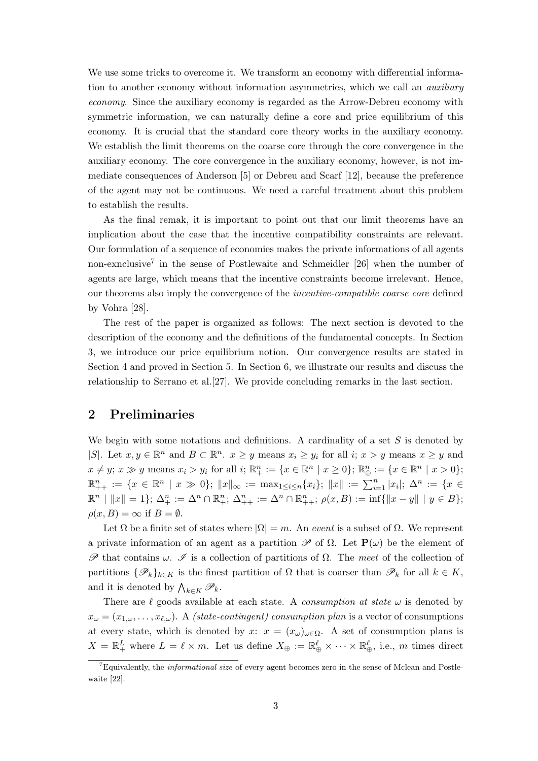We use some tricks to overcome it. We transform an economy with differential information to another economy without information asymmetries, which we call an *auxiliary economy*. Since the auxiliary economy is regarded as the Arrow-Debreu economy with symmetric information, we can naturally define a core and price equilibrium of this economy. It is crucial that the standard core theory works in the auxiliary economy. We establish the limit theorems on the coarse core through the core convergence in the auxiliary economy. The core convergence in the auxiliary economy, however, is not immediate consequences of Anderson [5] or Debreu and Scarf [12], because the preference of the agent may not be continuous. We need a careful treatment about this problem to establish the results.

As the final remak, it is important to point out that our limit theorems have an implication about the case that the incentive compatibility constraints are relevant. Our formulation of a sequence of economies makes the private informations of all agents non-exnclusive<sup>7</sup> in the sense of Postlewaite and Schmeidler [26] when the number of agents are large, which means that the incentive constraints become irrelevant. Hence, our theorems also imply the convergence of the *incentive-compatible coarse core* defined by Vohra [28].

The rest of the paper is organized as follows: The next section is devoted to the description of the economy and the definitions of the fundamental concepts. In Section 3, we introduce our price equilibrium notion. Our convergence results are stated in Section 4 and proved in Section 5. In Section 6, we illustrate our results and discuss the relationship to Serrano et al.[27]. We provide concluding remarks in the last section.

## **2 Preliminaries**

We begin with some notations and definitions. A cardinality of a set *S* is denoted by |S|. Let  $x, y \in \mathbb{R}^n$  and  $B \subset \mathbb{R}^n$ .  $x \geq y$  means  $x_i \geq y_i$  for all  $i; x > y$  means  $x \geq y$  and  $x \neq y; x \gg y$  means  $x_i > y_i$  for all  $i; \mathbb{R}^n_+ := \{x \in \mathbb{R}^n \mid x \geq 0\}; \mathbb{R}^n_{\oplus} := \{x \in \mathbb{R}^n \mid x > 0\};$  $\mathbb{R}^n_{++} := \{x \in \mathbb{R}^n \mid x \gg 0\};\; \|x\|_{\infty} := \max_{1 \leq i \leq n} \{x_i\};\; \|x\| := \sum_{i=1}^n |x_i|;\; \Delta^n := \{x \in \mathbb{R}^n : |x_i| \leq n\}$  $\mathbb{R}^n \mid ||x|| = 1$ ;  $\Delta_+^n := \Delta_-^n \cap \mathbb{R}_+^n$ ;  $\Delta_{++}^n := \Delta_-^n \cap \mathbb{R}_{++}^n$ ;  $\rho(x, B) := \inf \{ ||x - y|| \mid y \in B \}$ ;  $\rho(x, B) = \infty$  if  $B = \emptyset$ .

Let  $\Omega$  be a finite set of states where  $|\Omega| = m$ . An *event* is a subset of  $\Omega$ . We represent a private information of an agent as a partition  $\mathscr P$  of  $\Omega$ . Let  $\mathbf P(\omega)$  be the element of *P* that contains *ω*. *I* is a collection of partitions of Ω. The *meet* of the collection of partitions *{Pk}k∈<sup>K</sup>* is the finest partition of Ω that is coarser than *P<sup>k</sup>* for all *k ∈ K*, and it is denoted by  $\bigwedge_{k \in K} \mathcal{P}_k$ .

There are  $\ell$  goods available at each state. A *consumption at state*  $\omega$  is denoted by  $x_{\omega} = (x_{1,\omega}, \ldots, x_{\ell,\omega})$ . A *(state-contingent) consumption plan* is a vector of consumptions at every state, which is denoted by *x*:  $x = (x_\omega)_{\omega \in \Omega}$ . A set of consumption plans is  $X = \mathbb{R}_{+}^{L}$  where  $L = \ell \times m$ . Let us define  $X_{\oplus} := \mathbb{R}_{\oplus}^{\ell} \times \cdots \times \mathbb{R}_{\oplus}^{\ell}$ , i.e., *m* times direct

<sup>7</sup>Equivalently, the *informational size* of every agent becomes zero in the sense of Mclean and Postlewaite [22].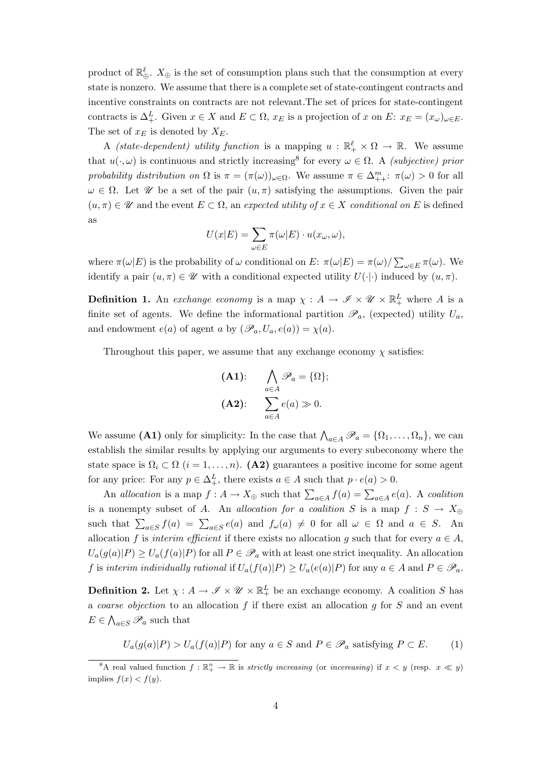product of  $\mathbb{R}^{\ell}_{\oplus}$ .  $X_{\oplus}$  is the set of consumption plans such that the consumption at every state is nonzero. We assume that there is a complete set of state-contingent contracts and incentive constraints on contracts are not relevant.The set of prices for state-contingent contracts is  $\Delta_+^L$ . Given  $x \in X$  and  $E \subset \Omega$ ,  $x_E$  is a projection of  $x$  on  $E: x_E = (x_\omega)_{\omega \in E}$ . The set of *x<sup>E</sup>* is denoted by *XE*.

A *(state-dependent) utility function* is a mapping  $u : \mathbb{R}_+^{\ell} \times \Omega \to \mathbb{R}$ . We assume that  $u(\cdot,\omega)$  is continuous and strictly increasing<sup>8</sup> for every  $\omega \in \Omega$ . A *(subjective) prior probability distribution on*  $\Omega$  is  $\pi = (\pi(\omega))_{\omega \in \Omega}$ . We assume  $\pi \in \Delta_{++}^m$ :  $\pi(\omega) > 0$  for all  $ω ∈ Ω$ . Let *U* be a set of the pair  $(u, π)$  satisfying the assumptions. Given the pair  $(u, \pi) \in \mathcal{U}$  and the event  $E \subset \Omega$ , an *expected utility of*  $x \in X$  *conditional on E* is defined as

$$
U(x|E) = \sum_{\omega \in E} \pi(\omega|E) \cdot u(x_{\omega}, \omega),
$$

where  $\pi(\omega|E)$  is the probability of  $\omega$  conditional on *E*:  $\pi(\omega|E) = \pi(\omega)/\sum_{\omega \in E} \pi(\omega)$ . We identify a pair  $(u, \pi) \in \mathcal{U}$  with a conditional expected utility  $U(\cdot | \cdot)$  induced by  $(u, \pi)$ .

**Definition 1.** An *exchange economy* is a map  $\chi : A \to \mathscr{I} \times \mathscr{U} \times \mathbb{R}^L_+$  where A is a finite set of agents. We define the informational partition  $\mathscr{P}_a$ , (expected) utility  $U_a$ , and endowment  $e(a)$  of agent *a* by  $(\mathscr{P}_a, U_a, e(a)) = \chi(a)$ .

Throughout this paper, we assume that any exchange economy  $\chi$  satisfies:

(A1): 
$$
\bigwedge_{a \in A} \mathscr{P}_a = \{ \Omega \};
$$

$$
(A2): \sum_{a \in A} e(a) \gg 0.
$$

We assume (A1) only for simplicity: In the case that  $\bigwedge_{a \in A} \mathscr{P}_a = \{\Omega_1, \ldots, \Omega_n\}$ , we can establish the similar results by applying our arguments to every subeconomy where the state space is  $\Omega_i \subset \Omega$  (*i* = 1, ..., *n*). **(A2)** guarantees a positive income for some agent for any price: For any  $p \in \Delta_+^L$ , there exists  $a \in A$  such that  $p \cdot e(a) > 0$ .

An *allocation* is a map  $f : A \to X_{\oplus}$  such that  $\sum_{a \in A} f(a) = \sum_{a \in A} e(a)$ . A *coalition* is a nonempty subset of *A*. An *allocation for a coalition S* is a map  $f : S \to X_{\oplus}$ such that  $\sum_{a \in S} f(a) = \sum_{a \in S} e(a)$  and  $f_{\omega}(a) \neq 0$  for all  $\omega \in \Omega$  and  $a \in S$ . An allocation *f* is *interim efficient* if there exists no allocation *g* such that for every  $a \in A$ ,  $U_a(g(a)|P) \ge U_a(f(a)|P)$  for all  $P \in \mathscr{P}_a$  with at least one strict inequality. An allocation f is interim individually rational if  $U_a(f(a)|P) \ge U_a(e(a)|P)$  for any  $a \in A$  and  $P \in \mathscr{P}_a$ .

**Definition 2.** Let  $\chi : A \to \mathscr{I} \times \mathscr{U} \times \mathbb{R}^L_+$  be an exchange economy. A coalition *S* has a *coarse objection* to an allocation *f* if there exist an allocation *g* for *S* and an event  $E \in \bigwedge_{a \in S} \mathscr{P}_a$  such that

$$
U_a(g(a)|P) > U_a(f(a)|P) \text{ for any } a \in S \text{ and } P \in \mathcal{P}_a \text{ satisfying } P \subset E. \tag{1}
$$

<sup>&</sup>lt;sup>8</sup>A real valued function  $f : \mathbb{R}^n_+ \to \mathbb{R}$  is *strictly increasing* (or *incereasing*) if  $x < y$  (resp.  $x \ll y$ ) implies  $f(x) < f(y)$ .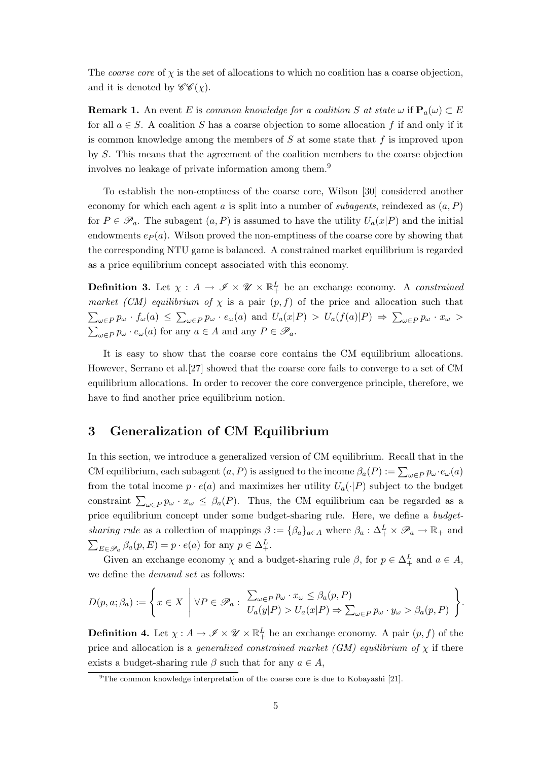The *coarse core* of  $\chi$  is the set of allocations to which no coalition has a coarse objection, and it is denoted by  $\mathscr{C}\mathscr{C}(\chi)$ .

**Remark 1.** An event *E* is *common knowledge for a coalition S* at state  $\omega$  if  $\mathbf{P}_a(\omega) \subset E$ for all  $a \in S$ . A coalition *S* has a coarse objection to some allocation *f* if and only if it is common knowledge among the members of *S* at some state that *f* is improved upon by *S*. This means that the agreement of the coalition members to the coarse objection involves no leakage of private information among them.<sup>9</sup>

To establish the non-emptiness of the coarse core, Wilson [30] considered another economy for which each agent *a* is split into a number of *subagents*, reindexed as (*a, P*) for  $P \in \mathscr{P}_a$ . The subagent  $(a, P)$  is assumed to have the utility  $U_a(x|P)$  and the initial endowments  $e_P(a)$ . Wilson proved the non-emptiness of the coarse core by showing that the corresponding NTU game is balanced. A constrained market equilibrium is regarded as a price equilibrium concept associated with this economy.

**Definition 3.** Let  $\chi : A \to \mathscr{I} \times \mathscr{U} \times \mathbb{R}^L_+$  be an exchange economy. A *constrained market (CM) equilibrium of*  $\chi$  is a pair  $(p, f)$  of the price and allocation such that  $\sum_{\omega \in P} p_{\omega} \cdot f_{\omega}(a) \leq \sum_{\omega \in P} p_{\omega} \cdot e_{\omega}(a)$  and  $U_a(x|P) > U_a(f(a)|P) \Rightarrow \sum_{\omega \in P} p_{\omega} \cdot x_{\omega} >$  $\sum_{\omega \in P} p_{\omega} \cdot e_{\omega}(a)$  for any  $a \in A$  and any  $P \in \mathscr{P}_a$ .

It is easy to show that the coarse core contains the CM equilibrium allocations. However, Serrano et al.[27] showed that the coarse core fails to converge to a set of CM equilibrium allocations. In order to recover the core convergence principle, therefore, we have to find another price equilibrium notion.

## **3 Generalization of CM Equilibrium**

In this section, we introduce a generalized version of CM equilibrium. Recall that in the CM equilibrium, each subagent  $(a, P)$  is assigned to the income  $\beta_a(P) := \sum_{\omega \in P} p_{\omega} \cdot e_{\omega}(a)$ from the total income  $p \cdot e(a)$  and maximizes her utility  $U_a(\cdot|P)$  subject to the budget constraint  $\sum_{\omega \in P} p_{\omega} \cdot x_{\omega} \leq \beta_a(P)$ . Thus, the CM equilibrium can be regarded as a price equilibrium concept under some budget-sharing rule. Here, we define a *budgetsharing rule* as a collection of mappings  $\beta := {\beta_a}_{a \in A}$  where  $\beta_a : \Delta_+^L \times \mathscr{P}_a \to \mathbb{R}_+$  and  $\sum_{E \in \mathcal{P}_a} \beta_a(p, E) = p \cdot e(a)$  for any  $p \in \Delta^L_+$ .

Given an exchange economy  $\chi$  and a budget-sharing rule  $\beta$ , for  $p \in \Delta^L_+$  and  $a \in A$ , we define the *demand set* as follows:

$$
D(p, a; \beta_a) := \left\{ x \in X \mid \forall P \in \mathscr{P}_a : \begin{array}{l} \sum_{\omega \in P} p_{\omega} \cdot x_{\omega} \leq \beta_a(p, P) \\ U_a(y|P) > U_a(x|P) \Rightarrow \sum_{\omega \in P} p_{\omega} \cdot y_{\omega} > \beta_a(p, P) \end{array} \right\}.
$$

**Definition 4.** Let  $\chi : A \to \mathscr{I} \times \mathscr{U} \times \mathbb{R}^L_+$  be an exchange economy. A pair  $(p, f)$  of the price and allocation is a *generalized constrained market (GM) equilibrium of*  $\chi$  if there exists a budget-sharing rule  $\beta$  such that for any  $a \in A$ ,

 $9^9$ The common knowledge interpretation of the coarse core is due to Kobayashi [21].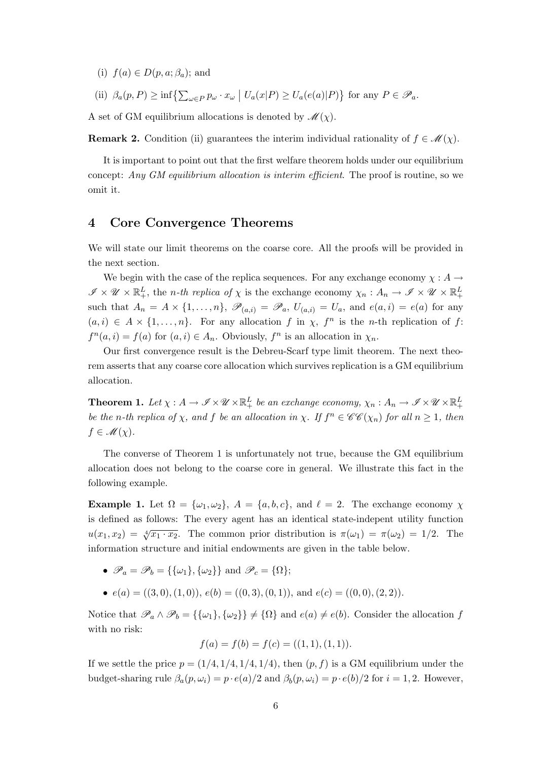(i)  $f(a) \in D(p, a; \beta_a)$ ; and

(ii)  $\beta_a(p, P) \ge \inf \left\{ \sum_{\omega \in P} p_{\omega} \cdot x_{\omega} \mid U_a(x|P) \ge U_a(e(a)|P) \right\}$  for any  $P \in \mathscr{P}_a$ .

A set of GM equilibrium allocations is denoted by  $\mathcal{M}(\chi)$ .

**Remark 2.** Condition (ii) guarantees the interim individual rationality of  $f \in \mathcal{M}(\chi)$ .

It is important to point out that the first welfare theorem holds under our equilibrium concept: *Any GM equilibrium allocation is interim efficient*. The proof is routine, so we omit it.

### **4 Core Convergence Theorems**

We will state our limit theorems on the coarse core. All the proofs will be provided in the next section.

We begin with the case of the replica sequences. For any exchange economy  $\chi : A \rightarrow$  $\mathscr{I} \times \mathscr{U} \times \mathbb{R}^L_+$ , the *n*-th replica of  $\chi$  is the exchange economy  $\chi_n: A_n \to \mathscr{I} \times \mathscr{U} \times \mathbb{R}^L_+$ such that  $A_n = A \times \{1, \ldots, n\}$ ,  $\mathscr{P}_{(a,i)} = \mathscr{P}_a$ ,  $U_{(a,i)} = U_a$ , and  $e(a,i) = e(a)$  for any  $(a, i) \in A \times \{1, \ldots, n\}$ . For any allocation *f* in  $\chi$ ,  $f^n$  is the *n*-th replication of *f*:  $f^{n}(a, i) = f(a)$  for  $(a, i) \in A_n$ . Obviously,  $f^{n}$  is an allocation in  $\chi_n$ .

Our first convergence result is the Debreu-Scarf type limit theorem. The next theorem asserts that any coarse core allocation which survives replication is a GM equilibrium allocation.

**Theorem 1.** Let  $\chi: A \to \mathscr{I} \times \mathscr{U} \times \mathbb{R}^L_+$  be an exchange economy,  $\chi_n: A_n \to \mathscr{I} \times \mathscr{U} \times \mathbb{R}^L_+$ be the n-th replica of  $\chi$ , and f be an allocation in  $\chi$ . If  $f^n \in \mathscr{CE}(\chi_n)$  for all  $n \geq 1$ , then  $f \in \mathcal{M}(\chi)$ .

The converse of Theorem 1 is unfortunately not true, because the GM equilibrium allocation does not belong to the coarse core in general. We illustrate this fact in the following example.

**Example 1.** Let  $\Omega = {\omega_1, \omega_2}$ ,  $A = {a, b, c}$ , and  $\ell = 2$ . The exchange economy  $\chi$ is defined as follows: The every agent has an identical state-indepent utility function  $u(x_1, x_2) = \sqrt[4]{x_1 \cdot x_2}$ . The common prior distribution is  $\pi(\omega_1) = \pi(\omega_2) = 1/2$ . The information structure and initial endowments are given in the table below.

•  $\mathscr{P}_a = \mathscr{P}_b = {\{\{\omega_1\}, \{\omega_2\}\}\}\$ and  $\mathscr{P}_c = {\Omega}$ ;

•  $e(a) = ((3,0), (1,0)), e(b) = ((0,3), (0,1)),$  and  $e(c) = ((0,0), (2,2)).$ 

Notice that  $\mathscr{P}_a \wedge \mathscr{P}_b = {\{\{\omega_1\}, \{\omega_2\}\}\neq {\Omega}}$  and  $e(a) \neq e(b)$ . Consider the allocation f with no risk:

$$
f(a) = f(b) = f(c) = ((1, 1), (1, 1)).
$$

If we settle the price  $p = (1/4, 1/4, 1/4, 1/4)$ , then  $(p, f)$  is a GM equilibrium under the budget-sharing rule  $\beta_a(p,\omega_i) = p \cdot e(a)/2$  and  $\beta_b(p,\omega_i) = p \cdot e(b)/2$  for  $i = 1,2$ . However,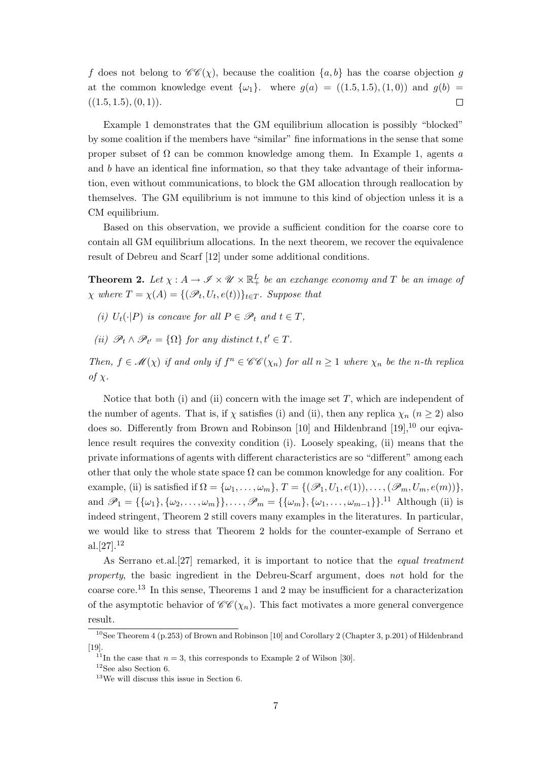*f* does not belong to  $\mathscr{C}\mathscr{C}(\chi)$ , because the coalition  $\{a, b\}$  has the coarse objection *g* at the common knowledge event  $\{\omega_1\}$ . where  $g(a) = ((1.5, 1.5), (1, 0))$  and  $g(b) =$  $((1.5, 1.5), (0, 1)).$  $\Box$ 

Example 1 demonstrates that the GM equilibrium allocation is possibly "blocked" by some coalition if the members have "similar" fine informations in the sense that some proper subset of  $\Omega$  can be common knowledge among them. In Example 1, agents *a* and *b* have an identical fine information, so that they take advantage of their information, even without communications, to block the GM allocation through reallocation by themselves. The GM equilibrium is not immune to this kind of objection unless it is a CM equilibrium.

Based on this observation, we provide a sufficient condition for the coarse core to contain all GM equilibrium allocations. In the next theorem, we recover the equivalence result of Debreu and Scarf [12] under some additional conditions.

**Theorem 2.** Let  $\chi : A \to \mathscr{I} \times \mathscr{U} \times \mathbb{R}^L_+$  be an exchange economy and T be an image of  $\chi$  *where*  $T = \chi(A) = \{(\mathscr{P}_t, U_t, e(t))\}_{t \in T}$ *. Suppose that* 

- *(i)*  $U_t(\cdot|P)$  *is concave for all*  $P \in \mathcal{P}_t$  *and*  $t \in T$ *,*
- *(ii)*  $\mathscr{P}_t \wedge \mathscr{P}_{t'} = {\Omega}$  *for any distinct*  $t, t' \in T$ *.*

Then,  $f \in \mathcal{M}(\chi)$  if and only if  $f^n \in \mathcal{CE}(\chi_n)$  for all  $n \geq 1$  where  $\chi_n$  be the n-th replica  $of \chi$ .

Notice that both (i) and (ii) concern with the image set *T*, which are independent of the number of agents. That is, if  $\chi$  satisfies (i) and (ii), then any replica  $\chi_n$  ( $n \geq 2$ ) also does so. Differently from Brown and Robinson [10] and Hildenbrand  $[19]$ ,<sup>10</sup> our eqivalence result requires the convexity condition (i). Loosely speaking, (ii) means that the private informations of agents with different characteristics are so "different" among each other that only the whole state space  $\Omega$  can be common knowledge for any coalition. For example, (ii) is satisfied if  $\Omega = {\omega_1, \ldots, \omega_m}$ ,  $T = {\omega_1, \ldots, \omega_m, \ldots, \omega_m, \ldots, \omega_m, \ldots, \omega_m, \ldots, \omega_m, \ldots, \omega_m, \ldots, \omega_m, \ldots, \omega_m, \ldots, \omega_m, \ldots, \omega_m, \ldots, \omega_m, \ldots, \omega_m, \ldots, \omega_m, \ldots, \omega_m, \ldots, \omega_m, \ldots, \omega_m, \ldots, \omega_m, \ldots, \omega_m, \ldots, \omega_m, \ldots, \omega_m, \ldots$ and  $\mathscr{P}_1 = {\{\{\omega_1\}, \{\omega_2, \dots, \omega_m\}\}\}\dots, \mathscr{P}_m = {\{\{\omega_m\}, \{\omega_1, \dots, \omega_{m-1}\}\}\}.^{11}$  Although (ii) is indeed stringent, Theorem 2 still covers many examples in the literatures. In particular, we would like to stress that Theorem 2 holds for the counter-example of Serrano et al. $[27]$ <sup>12</sup>

As Serrano et.al.[27] remarked, it is important to notice that the *equal treatment property*, the basic ingredient in the Debreu-Scarf argument, does *no*t hold for the coarse core.<sup>13</sup> In this sense, Theorems 1 and 2 may be insufficient for a characterization of the asymptotic behavior of  $\mathscr{C}\mathscr{C}(\chi_n)$ . This fact motivates a more general convergence result.

<sup>&</sup>lt;sup>10</sup>See Theorem 4 (p.253) of Brown and Robinson [10] and Corollary 2 (Chapter 3, p.201) of Hildenbrand [19].

<sup>&</sup>lt;sup>11</sup>In the case that  $n = 3$ , this corresponds to Example 2 of Wilson [30].

 $12$ See also Section 6.

 $^{13}{\rm{We}}$  will discuss this issue in Section 6.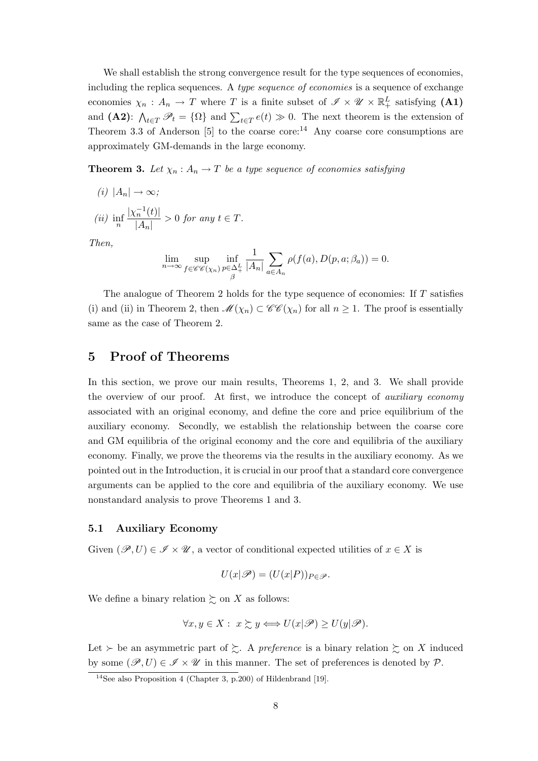We shall establish the strong convergence result for the type sequences of economies, including the replica sequences. A *type sequence of economies* is a sequence of exchange economies  $\chi_n$ :  $A_n \to T$  where *T* is a finite subset of  $\mathscr{I} \times \mathscr{U} \times \mathbb{R}^L_+$  satisfying (A1) and **(A2)**:  $\bigwedge_{t \in T} \mathcal{P}_t = \{ \Omega \}$  and  $\sum_{t \in T} e(t) \gg 0$ . The next theorem is the extension of Theorem 3.3 of Anderson [5] to the coarse core:<sup>14</sup> Any coarse core consumptions are approximately GM-demands in the large economy.

**Theorem 3.** Let  $\chi_n : A_n \to T$  be a type sequence of economies satisfying

$$
(i) |A_n| \to \infty;
$$

$$
(ii) \inf_{n} \frac{|\chi_n^{-1}(t)|}{|A_n|} > 0 \text{ for any } t \in T.
$$

*Then,*

$$
\lim_{n \to \infty} \sup_{f \in \mathscr{CC}(\chi_n)} \inf_{\substack{p \in \Delta_+^L \\ \beta}} \frac{1}{|A_n|} \sum_{a \in A_n} \rho(f(a), D(p, a; \beta_a)) = 0.
$$

The analogue of Theorem 2 holds for the type sequence of economies: If *T* satisfies (i) and (ii) in Theorem 2, then  $\mathscr{M}(\chi_n) \subset \mathscr{CC}(\chi_n)$  for all  $n \geq 1$ . The proof is essentially same as the case of Theorem 2.

## **5 Proof of Theorems**

In this section, we prove our main results, Theorems 1, 2, and 3. We shall provide the overview of our proof. At first, we introduce the concept of *auxiliary economy* associated with an original economy, and define the core and price equilibrium of the auxiliary economy. Secondly, we establish the relationship between the coarse core and GM equilibria of the original economy and the core and equilibria of the auxiliary economy. Finally, we prove the theorems via the results in the auxiliary economy. As we pointed out in the Introduction, it is crucial in our proof that a standard core convergence arguments can be applied to the core and equilibria of the auxiliary economy. We use nonstandard analysis to prove Theorems 1 and 3.

#### **5.1 Auxiliary Economy**

Given  $(\mathscr{P}, U) \in \mathscr{I} \times \mathscr{U}$ , a vector of conditional expected utilities of  $x \in X$  is

$$
U(x|\mathscr{P}) = (U(x|P))_{P \in \mathscr{P}}.
$$

We define a binary relation  $\gtrsim$  on *X* as follows:

$$
\forall x, y \in X: \ x \succsim y \iff U(x|\mathscr{P}) \geq U(y|\mathscr{P}).
$$

Let  $\succ$  be an asymmetric part of  $\succsim$ . A *preference* is a binary relation  $\succsim$  on *X* induced by some  $(\mathscr{P}, U) \in \mathscr{I} \times \mathscr{U}$  in this manner. The set of preferences is denoted by  $\mathscr{P}$ .

<sup>&</sup>lt;sup>14</sup>See also Proposition 4 (Chapter 3, p.200) of Hildenbrand [19].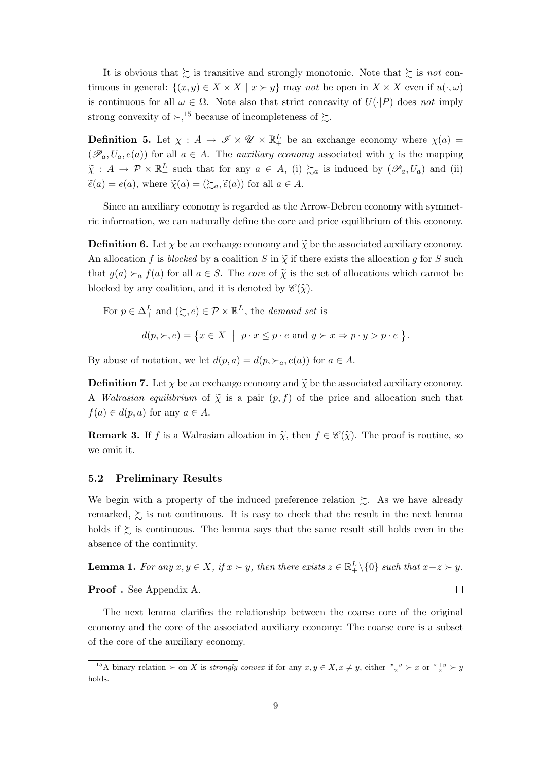It is obvious that  $\gtrsim$  is transitive and strongly monotonic. Note that  $\gtrsim$  is *not* continuous in general:  $\{(x, y) \in X \times X \mid x \succ y\}$  may *not* be open in  $X \times X$  even if  $u(\cdot, \omega)$ is continuous for all  $\omega \in \Omega$ . Note also that strict concavity of  $U(\cdot|P)$  does *not* imply strong convexity of  $\succ$ ,<sup>15</sup> because of incompleteness of  $\succsim$ .

**Definition 5.** Let  $\chi$  :  $A \to \mathscr{I} \times \mathscr{U} \times \mathbb{R}^L_+$  be an exchange economy where  $\chi(a)$  =  $(\mathscr{P}_a, U_a, e(a))$  for all  $a \in A$ . The *auxiliary economy* associated with  $\chi$  is the mapping  $\tilde{\chi}$  :  $A \to \mathcal{P} \times \mathbb{R}^L_+$  such that for any  $a \in A$ , (i)  $\succsim a$  is induced by  $(\mathscr{P}_a, U_a)$  and (ii)  $\widetilde{e}(a) = e(a)$ , where  $\widetilde{\chi}(a) = (\mathcal{E}_a, \widetilde{e}(a))$  for all  $a \in A$ .

Since an auxiliary economy is regarded as the Arrow-Debreu economy with symmetric information, we can naturally define the core and price equilibrium of this economy.

**Definition 6.** Let  $\chi$  be an exchange economy and  $\tilde{\chi}$  be the associated auxiliary economy. An allocation *f* is *blocked* by a coalition *S* in  $\tilde{\chi}$  if there exists the allocation *g* for *S* such that  $g(a) \succ_a f(a)$  for all  $a \in S$ . The *core* of  $\tilde{\chi}$  is the set of allocations which cannot be blocked by any coalition, and it is denoted by  $\mathscr{C}(\widetilde{\chi})$ .

For 
$$
p \in \Delta_+^L
$$
 and  $(\succsim, e) \in \mathcal{P} \times \mathbb{R}_+^L$ , the demand set is  
\n
$$
d(p, \succ, e) = \{x \in X \mid p \cdot x \le p \cdot e \text{ and } y \succ x \Rightarrow p \cdot y > p \cdot e
$$

By abuse of notation, we let  $d(p, a) = d(p, \succ_a, e(a))$  for  $a \in A$ .

**Definition 7.** Let  $\chi$  be an exchange economy and  $\widetilde{\chi}$  be the associated auxiliary economy. A *Walrasian equilibrium* of  $\tilde{\chi}$  is a pair  $(p, f)$  of the price and allocation such that  $f(a) \in d(p, a)$  for any  $a \in A$ .

ª *.*

**Remark 3.** If *f* is a Walrasian alloation in  $\tilde{\chi}$ , then  $f \in \mathscr{C}(\tilde{\chi})$ . The proof is routine, so we omit it.

#### **5.2 Preliminary Results**

We begin with a property of the induced preference relation  $\gtrsim$ . As we have already remarked,  $\gtrsim$  is not continuous. It is easy to check that the result in the next lemma holds if  $\succsim$  is continuous. The lemma says that the same result still holds even in the absence of the continuity.

**Lemma 1.** For any  $x, y \in X$ , if  $x \succ y$ , then there exists  $z \in \mathbb{R}^L_+\setminus\{0\}$  such that  $x-z\succ y$ .  $\Box$ **Proof .** See Appendix A.

The next lemma clarifies the relationship between the coarse core of the original economy and the core of the associated auxiliary economy: The coarse core is a subset of the core of the auxiliary economy.

<sup>&</sup>lt;sup>15</sup>A binary relation  $\succ$  on *X* is *strongly convex* if for any  $x, y \in X, x \neq y$ , either  $\frac{x+y}{2} \succ x$  or  $\frac{x+y}{2} \succ y$ holds.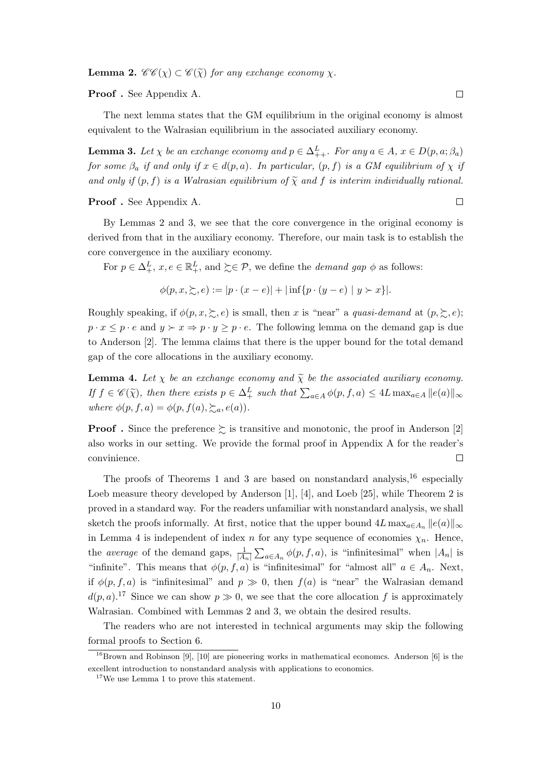**Lemma 2.**  $\mathscr{C}\mathscr{C}(\chi) \subset \mathscr{C}(\widetilde{\chi})$  *for any exchange economy*  $\chi$ *.* 

**Proof .** See Appendix A.

The next lemma states that the GM equilibrium in the original economy is almost equivalent to the Walrasian equilibrium in the associated auxiliary economy.

**Lemma 3.** Let  $\chi$  be an exchange economy and  $p \in \Delta_{++}^L$ . For any  $a \in A$ ,  $x \in D(p, a; \beta_a)$ *for some*  $\beta_a$  *if and only if*  $x \in d(p, a)$ *. In particular,*  $(p, f)$  *is a GM equilibrium of*  $\chi$  *if and only if*  $(p, f)$  *is a Walrasian equilibrium of*  $\tilde{\chi}$  *and f is interim individually rational.* 

**Proof .** See Appendix A.

By Lemmas 2 and 3, we see that the core convergence in the original economy is derived from that in the auxiliary economy. Therefore, our main task is to establish the core convergence in the auxiliary economy.

For  $p \in \Delta^L_+$ ,  $x, e \in \mathbb{R}^L_+$ , and  $\succsim \in \mathcal{P}$ , we define the *demand gap*  $\phi$  as follows:

$$
\phi(p, x, \geq, e) := |p \cdot (x - e)| + |\inf \{p \cdot (y - e) \mid y \succ x\}|.
$$

Roughly speaking, if  $\phi(p, x, \geq, e)$  is small, then *x* is "near" a *quasi-demand* at  $(p, \geq, e)$ ;  $p \cdot x \leq p \cdot e$  and  $y \succ x \Rightarrow p \cdot y \geq p \cdot e$ . The following lemma on the demand gap is due to Anderson [2]. The lemma claims that there is the upper bound for the total demand gap of the core allocations in the auxiliary economy.

**Lemma 4.** Let  $\chi$  be an exchange economy and  $\tilde{\chi}$  be the associated auxiliary economy. If  $f \in \mathscr{C}(\tilde{\chi})$ , then there exists  $p \in \Delta^L_+$  such that  $\sum_{a \in A} \phi(p, f, a) \leq 4L \max_{a \in A} ||e(a)||_{\infty}$ *where*  $\phi(p, f, a) = \phi(p, f(a), \sum a, e(a))$ *.* 

**Proof**. Since the preference  $\succeq$  is transitive and monotonic, the proof in Anderson [2] also works in our setting. We provide the formal proof in Appendix A for the reader's convinience.  $\Box$ 

The proofs of Theorems 1 and 3 are based on nonstandard analysis,  $^{16}$  especially Loeb measure theory developed by Anderson [1], [4], and Loeb [25], while Theorem 2 is proved in a standard way. For the readers unfamiliar with nonstandard analysis, we shall sketch the proofs informally. At first, notice that the upper bound  $4L \max_{a \in A_n} ||e(a)||_{\infty}$ in Lemma 4 is independent of index *n* for any type sequence of economies  $\chi_n$ . Hence, the *average* of the demand gaps,  $\frac{1}{|A_n|}\sum_{a\in A_n}\phi(p, f, a)$ , is "infinitesimal" when  $|A_n|$  is "infinite". This means that  $\phi(p, f, a)$  is "infinitesimal" for "almost all"  $a \in A_n$ . Next, if  $\phi(p, f, a)$  is "infinitesimal" and  $p \gg 0$ , then  $f(a)$  is "near" the Walrasian demand  $d(p, a)$ <sup>17</sup> Since we can show  $p \gg 0$ , we see that the core allocation f is approximately Walrasian. Combined with Lemmas 2 and 3, we obtain the desired results.

The readers who are not interested in technical arguments may skip the following formal proofs to Section 6.

 $\Box$ 

 $16B$ rown and Robinson [9], [10] are pioneering works in mathematical economcs. Anderson [6] is the excellent introduction to nonstandard analysis with applications to economics.

<sup>17</sup>We use Lemma 1 to prove this statement.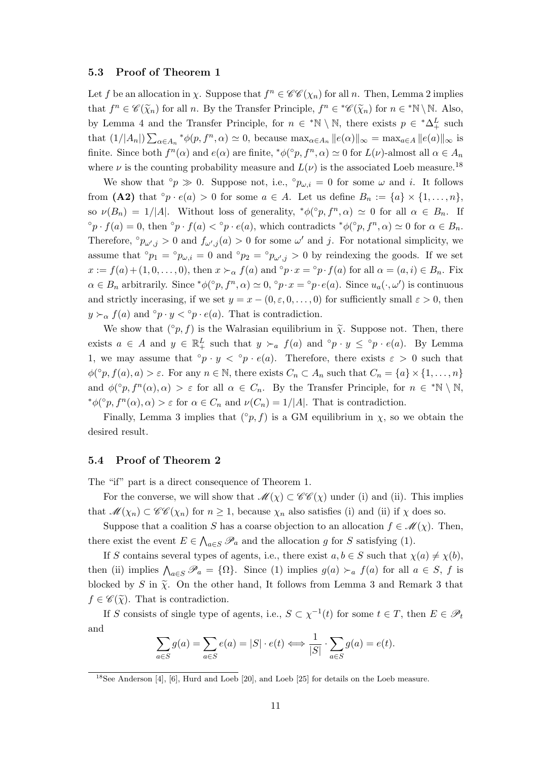#### **5.3 Proof of Theorem 1**

Let *f* be an allocation in *χ*. Suppose that  $f^n \in \mathscr{CC}(\chi_n)$  for all *n*. Then, Lemma 2 implies that  $f^n \in \mathscr{C}(\tilde{\chi}_n)$  for all *n*. By the Transfer Principle,  $f^n \in \mathscr{C}(\tilde{\chi}_n)$  for  $n \in \mathbb{N} \setminus \mathbb{N}$ . Also, by Lemma 4 and the Transfer Principle, for  $n \in \mathbb{N} \setminus \mathbb{N}$ , there exists  $p \in \mathbb{A}^L_+$  such that  $(1/|A_n|)\sum_{\alpha\in A_n} {\ast}_{\phi(p, f^n, \alpha)} \simeq 0$ , because  $\max_{\alpha\in A_n} ||e(\alpha)||_{\infty} = \max_{a\in A} ||e(a)||_{\infty}$  is finite. Since both  $f^{n}(\alpha)$  and  $e(\alpha)$  are finite,  ${}^{*}\phi({}^{\circ}p, f^{n}, \alpha) \simeq 0$  for  $L(\nu)$ -almost all  $\alpha \in A_{n}$ where  $\nu$  is the counting probability measure and  $L(\nu)$  is the associated Loeb measure.<sup>18</sup>

We show that  $\circ p \gg 0$ . Suppose not, i.e.,  $\circ p_{\omega,i} = 0$  for some  $\omega$  and *i*. It follows from (A2) that  $\circ p \cdot e(a) > 0$  for some  $a \in A$ . Let us define  $B_n := \{a\} \times \{1, \ldots, n\}$ , so  $\nu(B_n) = 1/|A|$ . Without loss of generality,  $*\phi({}^{\circ}p, f^n, \alpha) \simeq 0$  for all  $\alpha \in B_n$ . If  ${}^{\circ}p \cdot f(a) = 0$ , then  ${}^{\circ}p \cdot f(a) < {}^{\circ}p \cdot e(a)$ , which contradicts  ${}^*\phi({}^{\circ}p, f^n, \alpha) \simeq 0$  for  $\alpha \in B_n$ . Therefore,  $\circ p_{\omega',j} > 0$  and  $f_{\omega',j}(a) > 0$  for some  $\omega'$  and *j*. For notational simplicity, we assume that  $^{\circ}p_1 = ^{\circ}p_{\omega,i} = 0$  and  $^{\circ}p_2 = ^{\circ}p_{\omega',j} > 0$  by reindexing the goods. If we set  $x := f(a) + (1, 0, \ldots, 0)$ , then  $x \succ_{\alpha} f(a)$  and  $\circ p \cdot x = \circ p \cdot f(a)$  for all  $\alpha = (a, i) \in B_n$ . Fix  $\alpha \in B_n$  arbitrarily. Since  $^*\phi({}^{\circ}p, f^n, \alpha) \simeq 0$ ,  $^{\circ}p \cdot x = {^{\circ}p \cdot e(a)}$ . Since  $u_a(\cdot, \omega')$  is continuous and strictly incerasing, if we set  $y = x - (0, \varepsilon, 0, \ldots, 0)$  for sufficiently small  $\varepsilon > 0$ , then  $y \succ_{\alpha} f(a)$  and  $\circ p \cdot y < \circ p \cdot e(a)$ . That is contradiction.

We show that  $({\circ}p, f)$  is the Walrasian equilibrium in  $\tilde{\chi}$ . Suppose not. Then, there exists  $a \in A$  and  $y \in \mathbb{R}^L_+$  such that  $y \succ_a f(a)$  and  $\circ p \cdot y \leq \circ p \cdot e(a)$ . By Lemma 1, we may assume that  $\circ p \cdot y < \circ p \cdot e(a)$ . Therefore, there exists  $\varepsilon > 0$  such that  $\phi({}^{\circ}p, f(a), a) > \varepsilon$ . For any  $n \in \mathbb{N}$ , there exists  $C_n \subset A_n$  such that  $C_n = \{a\} \times \{1, \ldots, n\}$ and  $\phi({}^{\circ}p, f^{n}(\alpha), \alpha) > \varepsilon$  for all  $\alpha \in C_n$ . By the Transfer Principle, for  $n \in {}^*\mathbb{N} \setminus \mathbb{N}$ ,  $\phi({}^{\circ}p, f^{n}(\alpha), \alpha) > \varepsilon$  for  $\alpha \in C_n$  and  $\nu(C_n) = 1/|A|$ . That is contradiction.

Finally, Lemma 3 implies that  $(°p, f)$  is a GM equilibrium in *χ*, so we obtain the desired result.

#### **5.4 Proof of Theorem 2**

The "if" part is a direct consequence of Theorem 1.

For the converse, we will show that  $\mathcal{M}(\chi) \subset \mathcal{CC}(\chi)$  under (i) and (ii). This implies that  $\mathcal{M}(\chi_n) \subset \mathcal{CC}(\chi_n)$  for  $n \geq 1$ , because  $\chi_n$  also satisfies (i) and (ii) if  $\chi$  does so.

Suppose that a coalition *S* has a coarse objection to an allocation  $f \in \mathcal{M}(\chi)$ . Then, there exist the event  $E \in \bigwedge_{a \in S} \mathscr{P}_a$  and the allocation *g* for *S* satisfying (1).

If *S* contains several types of agents, i.e., there exist  $a, b \in S$  such that  $\chi(a) \neq \chi(b)$ , then (ii) implies  $\bigwedge_{a \in S} \mathscr{P}_a = \{\Omega\}$ . Since (1) implies  $g(a) \succ_a f(a)$  for all  $a \in S$ , f is blocked by *S* in  $\tilde{\chi}$ . On the other hand, It follows from Lemma 3 and Remark 3 that  $f \in \mathscr{C}(\widetilde{\chi})$ . That is contradiction.

If *S* consists of single type of agents, i.e.,  $S \subset \chi^{-1}(t)$  for some  $t \in T$ , then  $E \in \mathscr{P}_t$ and

$$
\sum_{a \in S} g(a) = \sum_{a \in S} e(a) = |S| \cdot e(t) \iff \frac{1}{|S|} \cdot \sum_{a \in S} g(a) = e(t).
$$

<sup>18</sup>See Anderson [4], [6], Hurd and Loeb [20], and Loeb [25] for details on the Loeb measure.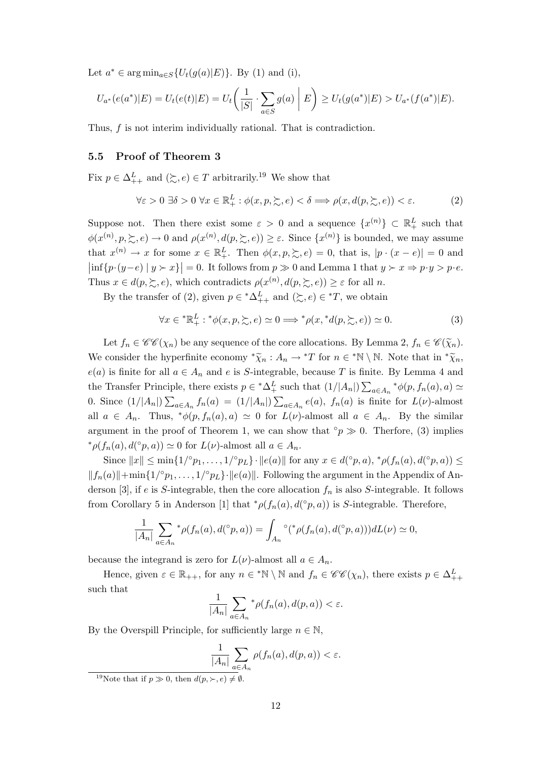Let  $a^*$  ∈ arg min<sub>*a*∈*S*</sub>{*U*<sub>*t*</sub>(*g*(*a*)|*E*)}. By (1) and (i),

$$
U_{a^*}(e(a^*)|E) = U_t(e(t)|E) = U_t\left(\frac{1}{|S|} \cdot \sum_{a \in S} g(a) \mid E\right) \ge U_t(g(a^*)|E) > U_{a^*}(f(a^*)|E).
$$

Thus, *f* is not interim individually rational. That is contradiction.

### **5.5 Proof of Theorem 3**

Fix  $p \in \Delta^L_{++}$  and  $(\succsim, e) \in T$  arbitrarily.<sup>19</sup> We show that

$$
\forall \varepsilon > 0 \; \exists \delta > 0 \; \forall x \in \mathbb{R}_+^L : \phi(x, p, \succsim, e) < \delta \Longrightarrow \rho(x, d(p, \succsim, e)) < \varepsilon. \tag{2}
$$

Suppose not. Then there exist some  $\varepsilon > 0$  and a sequence  $\{x^{(n)}\} \subset \mathbb{R}^L_+$  such that  $\phi(x^{(n)}, p, \succsim, e) \to 0$  and  $\rho(x^{(n)}, d(p, \succsim, e)) \geq \varepsilon$ . Since  $\{x^{(n)}\}$  is bounded, we may assume that  $x^{(n)} \to x$  for some  $x \in \mathbb{R}^L_+$ . Then  $\phi(x, p, \geq, e) = 0$ , that is,  $|p \cdot (x - e)| = 0$  and  $\left|\inf\{p\cdot(y-e) \mid y\succ x\}\right|=0.$  It follows from  $p\gg 0$  and Lemma 1 that  $y\succ x \Rightarrow p\cdot y > p\cdot e$ . Thus  $x \in d(p, \succeq, e)$ , which contradicts  $\rho(x^{(n)}, d(p, \succeq, e)) \geq \varepsilon$  for all *n*.

By the transfer of (2), given  $p \in {}^*\Delta^L_{++}$  and  $(\succsim, e) \in {}^*T$ , we obtain

$$
\forall x \in {}^*{\mathbb{R}}_+^L : {}^*\phi(x, p, \succsim, e) \simeq 0 \Longrightarrow {}^*\rho(x, {}^*d(p, \succsim, e)) \simeq 0. \tag{3}
$$

Let  $f_n \in \mathscr{C}\mathscr{C}(\chi_n)$  be any sequence of the core allocations. By Lemma 2,  $f_n \in \mathscr{C}(\widetilde{\chi}_n)$ . We consider the hyperfinite economy  $*\tilde{\chi}_n : A_n \to {}^*T$  for  $n \in {}^*N \setminus N$ . Note that in  ${}^* \tilde{\chi}_n$ ,  $e(a)$  is finite for all  $a \in A_n$  and  $e$  is *S*-integrable, because *T* is finite. By Lemma 4 and the Transfer Principle, there exists  $p \in {}^*\Delta_+^L$  such that  $(1/|A_n|)\sum_{a\in A_n} {}^*\phi(p, f_n(a), a) \simeq$ 0. Since  $(1/|A_n|)\sum_{a\in A_n} f_n(a) = (1/|A_n|)\sum_{a\in A_n} e(a)$ ,  $f_n(a)$  is finite for  $L(\nu)$ -almost all  $a \in A_n$ . Thus,  $*\phi(p, f_n(a), a) \simeq 0$  for  $L(\nu)$ -almost all  $a \in A_n$ . By the similar argument in the proof of Theorem 1, we can show that  $\degree p \gg 0$ . Therfore, (3) implies *\** $\rho(f_n(a), d({}^{\circ} p, a)) \simeq 0$  for  $L(\nu)$ -almost all  $a \in A_n$ .

Since  $||x|| \le \min\{1/\circ p_1, \ldots, 1/\circ p_L\} \cdot ||e(a)||$  for any  $x \in d(\circ p, a), * \rho(f_n(a), d(\circ p, a)) \le$  $||f_n(a)|| + \min\{1/\circ p_1, \ldots, 1/\circ p_L\} \cdot ||e(a)||$ . Following the argument in the Appendix of Anderson [3], if  $e$  is  $S$ -integrable, then the core allocation  $f_n$  is also  $S$ -integrable. It follows from Corollary 5 in Anderson [1] that  $^* \rho(f_n(a), d(^{\circ} p, a))$  is *S*-integrable. Therefore,

$$
\frac{1}{|A_n|}\sum_{a\in A_n} {\mathbf{\textbin{A}}}_p (f_n(a), d({}^{\circ} p, a)) = \int_{A_n} {\mathbf{\textbin{A}}}^p (f_n(a), d({}^{\circ} p, a))) dL(\nu) \simeq 0,
$$

because the integrand is zero for  $L(\nu)$ -almost all  $a \in A_n$ .

Hence, given  $\varepsilon \in \mathbb{R}_{++}$ , for any  $n \in \mathbb{N} \setminus \mathbb{N}$  and  $f_n \in \mathscr{CC}(\chi_n)$ , there exists  $p \in \Delta^L_{++}$ such that

$$
\frac{1}{|A_n|}\sum_{a\in A_n} \mathcal{P}(f_n(a), d(p, a)) < \varepsilon.
$$

By the Overspill Principle, for sufficiently large  $n \in \mathbb{N}$ ,

$$
\frac{1}{|A_n|} \sum_{a \in A_n} \rho(f_n(a), d(p, a)) < \varepsilon.
$$

<sup>&</sup>lt;sup>19</sup>Note that if  $p \gg 0$ , then  $d(p, \succ, e) \neq \emptyset$ .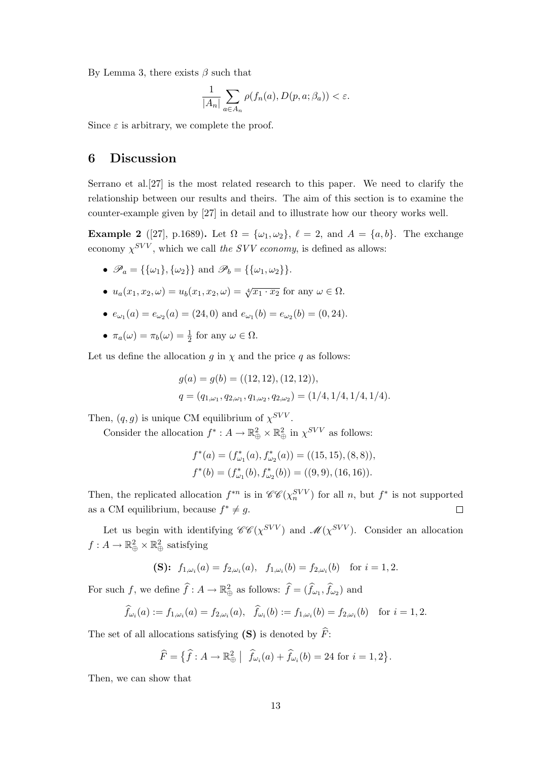By Lemma 3, there exists *β* such that

$$
\frac{1}{|A_n|} \sum_{a \in A_n} \rho(f_n(a), D(p, a; \beta_a)) < \varepsilon.
$$

Since  $\varepsilon$  is arbitrary, we complete the proof.

## **6 Discussion**

Serrano et al.[27] is the most related research to this paper. We need to clarify the relationship between our results and theirs. The aim of this section is to examine the counter-example given by [27] in detail and to illustrate how our theory works well.

**Example 2** ([27], p.1689). Let  $\Omega = {\omega_1, \omega_2}$ ,  $\ell = 2$ , and  $A = {a, b}$ . The exchange economy  $\chi^{SVV}$ , which we call *the SVV economy*, is defined as allows:

- $\mathscr{P}_a = {\{\{\omega_1\}, \{\omega_2\}\}\}\$ and  $\mathscr{P}_b = {\{\{\omega_1, \omega_2\}\}\}.$
- $u_a(x_1, x_2, \omega) = u_b(x_1, x_2, \omega) = \sqrt[4]{x_1 \cdot x_2}$  for any  $\omega \in \Omega$ .
- $e_{\omega_1}(a) = e_{\omega_2}(a) = (24, 0)$  and  $e_{\omega_1}(b) = e_{\omega_2}(b) = (0, 24)$ .
- $\pi_a(\omega) = \pi_b(\omega) = \frac{1}{2}$  for any  $\omega \in \Omega$ .

Let us define the allocation  $g$  in  $\chi$  and the price  $q$  as follows:

$$
g(a) = g(b) = ((12, 12), (12, 12)),
$$
  

$$
q = (q_{1,\omega_1}, q_{2,\omega_1}, q_{1,\omega_2}, q_{2,\omega_2}) = (1/4, 1/4, 1/4, 1/4).
$$

Then,  $(q, g)$  is unique CM equilibrium of  $\chi^{SVV}$ .

Consider the allocation  $f^* : A \to \mathbb{R}_{\oplus}^2 \times \mathbb{R}_{\oplus}^2$  in  $\chi^{SVV}$  as follows:

$$
f^*(a) = (f^*_{\omega_1}(a), f^*_{\omega_2}(a)) = ((15, 15), (8, 8)),
$$
  

$$
f^*(b) = (f^*_{\omega_1}(b), f^*_{\omega_2}(b)) = ((9, 9), (16, 16)).
$$

Then, the replicated allocation  $f^{*n}$  is in  $\mathscr{C}\mathscr{C}(\chi_n^{SVV})$  for all *n*, but  $f^*$  is not supported as a CM equilibrium, because  $f^* \neq g$ .  $\Box$ 

Let us begin with identifying  $\mathscr{C}\mathscr{C}(\chi^{SVV})$  and  $\mathscr{M}(\chi^{SVV})$ . Consider an allocation  $f: A \to \mathbb{R}_{\oplus}^2 \times \mathbb{R}_{\oplus}^2$  satisfying

$$
\textbf{(S):} \ \ f_{1,\omega_i}(a) = f_{2,\omega_i}(a), \ \ f_{1,\omega_i}(b) = f_{2,\omega_i}(b) \ \ \text{ for } i = 1,2.
$$

For such *f*, we define  $\hat{f}: A \to \mathbb{R}_{\oplus}^2$  as follows:  $\hat{f} = (\hat{f}_{\omega_1}, \hat{f}_{\omega_2})$  and

$$
\widehat{f}_{\omega_i}(a) := f_{1,\omega_i}(a) = f_{2,\omega_i}(a), \quad \widehat{f}_{\omega_i}(b) := f_{1,\omega_i}(b) = f_{2,\omega_i}(b) \quad \text{for } i = 1, 2.
$$

The set of all allocations satisfying **(S)** is denoted by  $\hat{F}$ :

$$
\widehat{F} = \{ \widehat{f} : A \to \mathbb{R}_{\oplus}^2 \mid \widehat{f}_{\omega_i}(a) + \widehat{f}_{\omega_i}(b) = 24 \text{ for } i = 1, 2 \}.
$$

Then, we can show that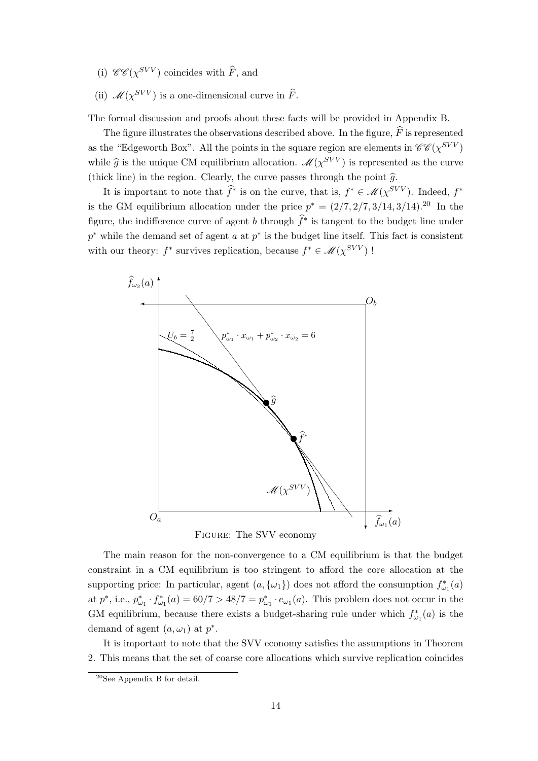- (i)  $\mathscr{C}\mathscr{C}(\chi^{SVV})$  coincides with  $\widehat{F}$ , and
- (ii)  $\mathcal{M}(\chi^{SVV})$  is a one-dimensional curve in  $\widehat{F}$ .

The formal discussion and proofs about these facts will be provided in Appendix B.

The figure illustrates the observations described above. In the figure,  $\widehat{F}$  is represented as the "Edgeworth Box". All the points in the square region are elements in  $\mathscr{C}\mathscr{C}(\chi^{SVV})$ while  $\hat{g}$  is the unique CM equilibrium allocation.  $\mathcal{M}(\chi^{SVV})$  is represented as the curve (thick line) in the region. Clearly, the curve passes through the point  $\hat{g}$ .

It is important to note that  $\hat{f}^*$  is on the curve, that is,  $f^* \in \mathcal{M}(\chi^{SVV})$ . Indeed,  $f^*$ is the GM equilibrium allocation under the price  $p^* = (2/7, 2/7, 3/14, 3/14).$ <sup>20</sup> In the figure, the indifference curve of agent *b* through  $\hat{f}^*$  is tangent to the budget line under *p*<sup>∗</sup> while the demand set of agent *a* at *p*<sup>∗</sup> is the budget line itself. This fact is consistent with our theory:  $f^*$  survives replication, because  $f^* \in \mathcal{M}(\chi^{SVV})$ !



The main reason for the non-convergence to a CM equilibrium is that the budget constraint in a CM equilibrium is too stringent to afford the core allocation at the supporting price: In particular, agent  $(a, \{\omega_1\})$  does not afford the consumption  $f^*_{\omega_1}(a)$ at  $p^*$ , i.e.,  $p^*_{\omega_1} \cdot f^*_{\omega_1}(a) = 60/7 > 48/7 = p^*_{\omega_1} \cdot e_{\omega_1}(a)$ . This problem does not occur in the GM equilibrium, because there exists a budget-sharing rule under which  $f^*_{\omega_1}(a)$  is the demand of agent  $(a, \omega_1)$  at  $p^*$ .

It is important to note that the SVV economy satisfies the assumptions in Theorem 2. This means that the set of coarse core allocations which survive replication coincides

<sup>20</sup>See Appendix B for detail.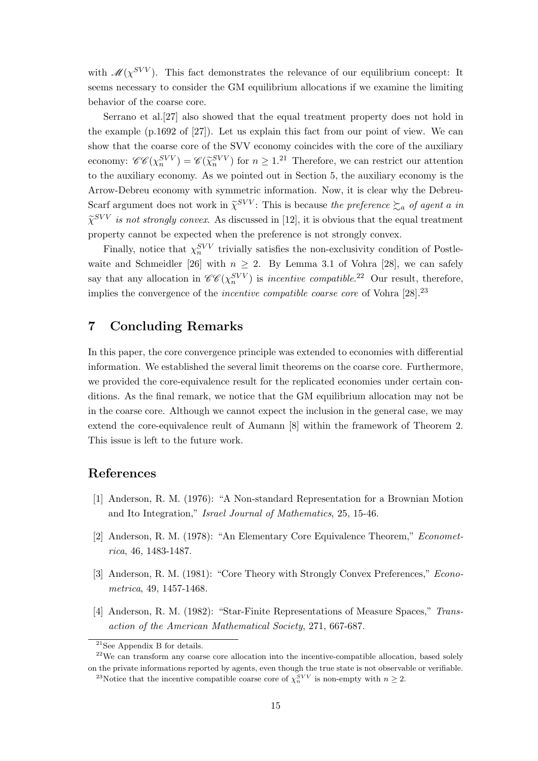with  $\mathcal{M}(\chi^{SVV})$ . This fact demonstrates the relevance of our equilibrium concept: It seems necessary to consider the GM equilibrium allocations if we examine the limiting behavior of the coarse core.

Serrano et al.[27] also showed that the equal treatment property does not hold in the example (p.1692 of [27]). Let us explain this fact from our point of view. We can show that the coarse core of the SVV economy coincides with the core of the auxiliary economy:  $\mathscr{C}\mathscr{C}(\chi_n^{SVV}) = \mathscr{C}(\widetilde{\chi}_n^{SVV})$  for  $n \geq 1.21$  Therefore, we can restrict our attention to the auxiliary economy. As we pointed out in Section 5, the auxiliary economy is the Arrow-Debreu economy with symmetric information. Now, it is clear why the Debreu-Scarf argument does not work in  $\tilde{\chi}^{SVV}$ : This is because *the preference*  $\succsim_a$  *of agent a in*  $\tilde{\chi}^{SVV}$  *is not strongly convex.* As discussed in [12], it is obvious that the equal treatment property cannot be expected when the preference is not strongly convex.

Finally, notice that  $\chi_n^{SVV}$  trivially satisfies the non-exclusivity condition of Postlewaite and Schmeidler [26] with  $n \geq 2$ . By Lemma 3.1 of Vohra [28], we can safely say that any allocation in  $\mathscr{CE}(\chi_n^{SVV})$  is *incentive compatible*.<sup>22</sup> Our result, therefore, implies the convergence of the *incentive compatible coarse core* of Vohra [28].<sup>23</sup>

## **7 Concluding Remarks**

In this paper, the core convergence principle was extended to economies with differential information. We established the several limit theorems on the coarse core. Furthermore, we provided the core-equivalence result for the replicated economies under certain conditions. As the final remark, we notice that the GM equilibrium allocation may not be in the coarse core. Although we cannot expect the inclusion in the general case, we may extend the core-equivalence reult of Aumann [8] within the framework of Theorem 2. This issue is left to the future work.

## **References**

- [1] Anderson, R. M. (1976): "A Non-standard Representation for a Brownian Motion and Ito Integration," *Israel Journal of Mathematics*, 25, 15-46.
- [2] Anderson, R. M. (1978): "An Elementary Core Equivalence Theorem," *Econometrica*, 46, 1483-1487.
- [3] Anderson, R. M. (1981): "Core Theory with Strongly Convex Preferences," *Econometrica*, 49, 1457-1468.
- [4] Anderson, R. M. (1982): "Star-Finite Representations of Measure Spaces," *Transaction of the American Mathematical Society*, 271, 667-687.

<sup>21</sup>See Appendix B for details.

 $22$ We can transform any coarse core allocation into the incentive-compatible allocation, based solely on the private informations reported by agents, even though the true state is not observable or verifiable.

<sup>&</sup>lt;sup>23</sup>Notice that the incentive compatible coarse core of  $\chi_n^{SVV}$  is non-empty with  $n \geq 2$ .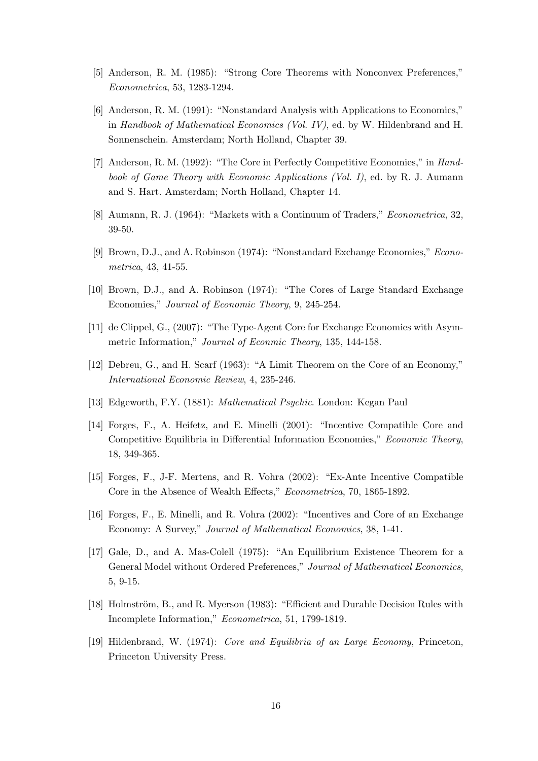- [5] Anderson, R. M. (1985): "Strong Core Theorems with Nonconvex Preferences," *Econometrica*, 53, 1283-1294.
- [6] Anderson, R. M. (1991): "Nonstandard Analysis with Applications to Economics," in *Handbook of Mathematical Economics (Vol. IV)*, ed. by W. Hildenbrand and H. Sonnenschein. Amsterdam; North Holland, Chapter 39.
- [7] Anderson, R. M. (1992): "The Core in Perfectly Competitive Economies," in *Handbook of Game Theory with Economic Applications (Vol. I)*, ed. by R. J. Aumann and S. Hart. Amsterdam; North Holland, Chapter 14.
- [8] Aumann, R. J. (1964): "Markets with a Continuum of Traders," *Econometrica*, 32, 39-50.
- [9] Brown, D.J., and A. Robinson (1974): "Nonstandard Exchange Economies," *Econometrica*, 43, 41-55.
- [10] Brown, D.J., and A. Robinson (1974): "The Cores of Large Standard Exchange Economies," *Journal of Economic Theory*, 9, 245-254.
- [11] de Clippel, G., (2007): "The Type-Agent Core for Exchange Economies with Asymmetric Information," *Journal of Econmic Theory*, 135, 144-158.
- [12] Debreu, G., and H. Scarf (1963): "A Limit Theorem on the Core of an Economy," *International Economic Review*, 4, 235-246.
- [13] Edgeworth, F.Y. (1881): *Mathematical Psychic*. London: Kegan Paul
- [14] Forges, F., A. Heifetz, and E. Minelli (2001): "Incentive Compatible Core and Competitive Equilibria in Differential Information Economies," *Economic Theory*, 18, 349-365.
- [15] Forges, F., J-F. Mertens, and R. Vohra (2002): "Ex-Ante Incentive Compatible Core in the Absence of Wealth Effects," *Econometrica*, 70, 1865-1892.
- [16] Forges, F., E. Minelli, and R. Vohra (2002): "Incentives and Core of an Exchange Economy: A Survey," *Journal of Mathematical Economics*, 38, 1-41.
- [17] Gale, D., and A. Mas-Colell (1975): "An Equilibrium Existence Theorem for a General Model without Ordered Preferences," *Journal of Mathematical Economics*, 5, 9-15.
- [18] Holmström, B., and R. Myerson (1983): "Efficient and Durable Decision Rules with Incomplete Information," *Econometrica*, 51, 1799-1819.
- [19] Hildenbrand, W. (1974): *Core and Equilibria of an Large Economy*, Princeton, Princeton University Press.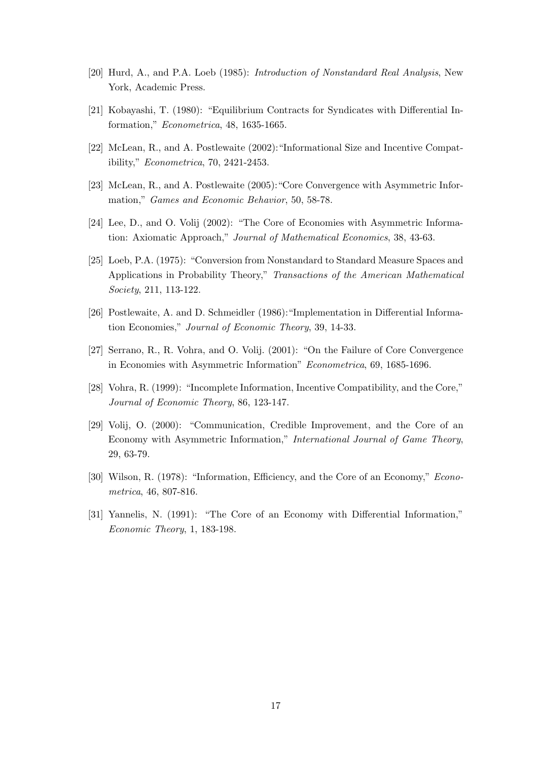- [20] Hurd, A., and P.A. Loeb (1985): *Introduction of Nonstandard Real Analysis*, New York, Academic Press.
- [21] Kobayashi, T. (1980): "Equilibrium Contracts for Syndicates with Differential Information," *Econometrica*, 48, 1635-1665.
- [22] McLean, R., and A. Postlewaite (2002):"Informational Size and Incentive Compatibility," *Econometrica*, 70, 2421-2453.
- [23] McLean, R., and A. Postlewaite (2005):"Core Convergence with Asymmetric Information," *Games and Economic Behavior*, 50, 58-78.
- [24] Lee, D., and O. Volij (2002): "The Core of Economies with Asymmetric Information: Axiomatic Approach," *Journal of Mathematical Economics*, 38, 43-63.
- [25] Loeb, P.A. (1975): "Conversion from Nonstandard to Standard Measure Spaces and Applications in Probability Theory," *Transactions of the American Mathematical Society*, 211, 113-122.
- [26] Postlewaite, A. and D. Schmeidler (1986):"Implementation in Differential Information Economies," *Journal of Economic Theory*, 39, 14-33.
- [27] Serrano, R., R. Vohra, and O. Volij. (2001): "On the Failure of Core Convergence in Economies with Asymmetric Information" *Econometrica*, 69, 1685-1696.
- [28] Vohra, R. (1999): "Incomplete Information, Incentive Compatibility, and the Core," *Journal of Economic Theory*, 86, 123-147.
- [29] Volij, O. (2000): "Communication, Credible Improvement, and the Core of an Economy with Asymmetric Information," *International Journal of Game Theory*, 29, 63-79.
- [30] Wilson, R. (1978): "Information, Efficiency, and the Core of an Economy," *Econometrica*, 46, 807-816.
- [31] Yannelis, N. (1991): "The Core of an Economy with Differential Information," *Economic Theory*, 1, 183-198.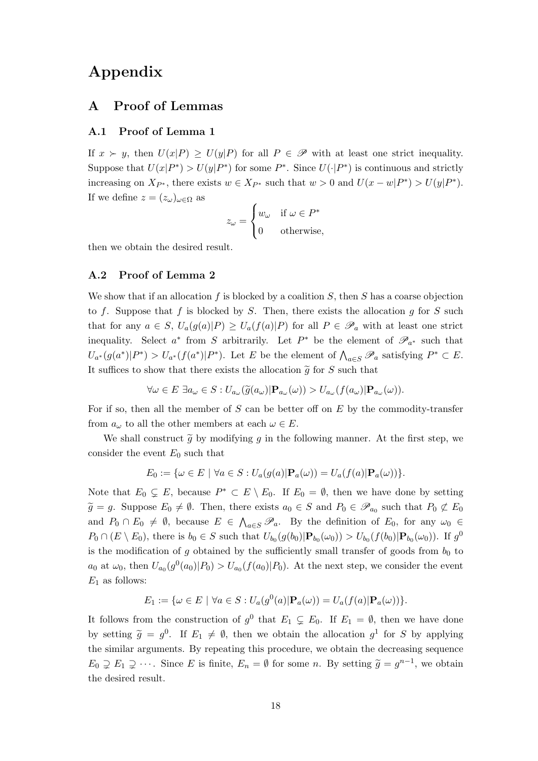# **Appendix**

## **A Proof of Lemmas**

#### **A.1 Proof of Lemma 1**

If  $x \succ y$ , then  $U(x|P) \geq U(y|P)$  for all  $P \in \mathscr{P}$  with at least one strict inequality. Suppose that  $U(x|P^*) > U(y|P^*)$  for some  $P^*$ . Since  $U(\cdot|P^*)$  is continuous and strictly increasing on  $X_{P^*}$ , there exists  $w \in X_{P^*}$  such that  $w > 0$  and  $U(x - w|P^*) > U(y|P^*)$ . If we define  $z = (z_\omega)_{\omega \in \Omega}$  as

$$
z_{\omega} = \begin{cases} w_{\omega} & \text{if } \omega \in P^* \\ 0 & \text{otherwise,} \end{cases}
$$

then we obtain the desired result.

#### **A.2 Proof of Lemma 2**

We show that if an allocation *f* is blocked by a coalition *S*, then *S* has a coarse objection to *f*. Suppose that *f* is blocked by *S*. Then, there exists the allocation *g* for *S* such that for any  $a \in S$ ,  $U_a(g(a)|P) \geq U_a(f(a)|P)$  for all  $P \in \mathscr{P}_a$  with at least one strict inequality. Select  $a^*$  from *S* arbitrarily. Let  $P^*$  be the element of  $\mathscr{P}_{a^*}$  such that  $U_{a^*}(g(a^*)|P^*) > U_{a^*}(f(a^*)|P^*)$ . Let E be the element of  $\bigwedge_{a \in S} \mathscr{P}_a$  satisfying  $P^* \subset E$ . It suffices to show that there exists the allocation  $\tilde{g}$  for *S* such that

$$
\forall \omega \in E \ \exists a_{\omega} \in S : U_{a_{\omega}}(\widetilde{g}(a_{\omega}) | \mathbf{P}_{a_{\omega}}(\omega)) > U_{a_{\omega}}(f(a_{\omega}) | \mathbf{P}_{a_{\omega}}(\omega)).
$$

For if so, then all the member of *S* can be better off on *E* by the commodity-transfer from  $a_{\omega}$  to all the other members at each  $\omega \in E$ .

We shall construct  $\tilde{g}$  by modifying g in the following manner. At the first step, we consider the event  $E_0$  such that

$$
E_0 := \{ \omega \in E \mid \forall a \in S : U_a(g(a)|\mathbf{P}_a(\omega)) = U_a(f(a)|\mathbf{P}_a(\omega)) \}.
$$

Note that  $E_0 \subsetneq E$ , because  $P^* \subset E \setminus E_0$ . If  $E_0 = \emptyset$ , then we have done by setting  $\widetilde{g} = g$ . Suppose  $E_0 \neq \emptyset$ . Then, there exists  $a_0 \in S$  and  $P_0 \in \mathscr{P}_{a_0}$  such that  $P_0 \not\subset E_0$ and  $P_0 \cap E_0 \neq \emptyset$ , because  $E \in \bigwedge_{a \in S} \mathscr{P}_a$ . By the definition of  $E_0$ , for any  $\omega_0 \in$  $P_0 \cap (E \setminus E_0)$ , there is  $b_0 \in S$  such that  $U_{b_0}(g(b_0)|{\bf P}_{b_0}(\omega_0)) > U_{b_0}(f(b_0)|{\bf P}_{b_0}(\omega_0))$ . If  $g^0$ is the modification of  $g$  obtained by the sufficiently small transfer of goods from  $b_0$  to  $a_0$  at  $\omega_0$ , then  $U_{a_0}(g^0(a_0)|P_0) > U_{a_0}(f(a_0)|P_0)$ . At the next step, we consider the event *E*<sup>1</sup> as follows:

$$
E_1 := \{ \omega \in E \mid \forall a \in S : U_a(g^0(a)|\mathbf{P}_a(\omega)) = U_a(f(a)|\mathbf{P}_a(\omega)) \}.
$$

It follows from the construction of  $g^0$  that  $E_1 \subsetneq E_0$ . If  $E_1 = \emptyset$ , then we have done by setting  $\tilde{g} = g^0$ . If  $E_1 \neq \emptyset$ , then we obtain the allocation  $g^1$  for *S* by applying the similar arguments. By repeating this procedure, we obtain the decreasing sequence  $E_0 \supsetneq E_1 \supsetneq \cdots$ . Since *E* is finite,  $E_n = \emptyset$  for some *n*. By setting  $\widetilde{g} = g^{n-1}$ , we obtain the desired result.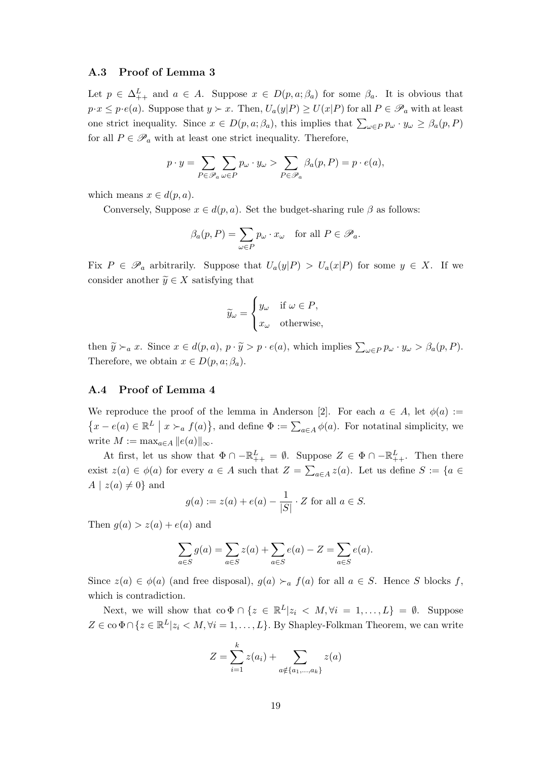#### **A.3 Proof of Lemma 3**

Let  $p \in \Delta^L_{++}$  and  $a \in A$ . Suppose  $x \in D(p, a; \beta_a)$  for some  $\beta_a$ . It is obvious that  $p \cdot x \leq p \cdot e(a)$ . Suppose that  $y \succ x$ . Then,  $U_a(y|P) \geq U(x|P)$  for all  $P \in \mathscr{P}_a$  with at least one strict inequality. Since  $x \in D(p, a; \beta_a)$ , this implies that  $\sum_{\omega \in P} p_{\omega} \cdot y_{\omega} \geq \beta_a(p, P)$ for all  $P \in \mathscr{P}_a$  with at least one strict inequality. Therefore,

$$
p \cdot y = \sum_{P \in \mathscr{P}_a} \sum_{\omega \in P} p_{\omega} \cdot y_{\omega} > \sum_{P \in \mathscr{P}_a} \beta_a(p, P) = p \cdot e(a),
$$

which means  $x \in d(p, a)$ .

Conversely, Suppose  $x \in d(p, a)$ . Set the budget-sharing rule  $\beta$  as follows:

$$
\beta_a(p, P) = \sum_{\omega \in P} p_{\omega} \cdot x_{\omega} \quad \text{for all } P \in \mathscr{P}_a.
$$

Fix  $P \in \mathscr{P}_a$  arbitrarily. Suppose that  $U_a(y|P) > U_a(x|P)$  for some  $y \in X$ . If we consider another  $\widetilde{y} \in X$  satisfying that

$$
\widetilde{y}_{\omega} = \begin{cases} y_{\omega} & \text{if } \omega \in P, \\ x_{\omega} & \text{otherwise,} \end{cases}
$$

then  $\widetilde{y} \succ_a x$ . Since  $x \in d(p, a), p \cdot \widetilde{y} > p \cdot e(a)$ , which implies  $\sum_{\omega \in P} p_{\omega} \cdot y_{\omega} > \beta_a(p, P)$ . Therefore, we obtain  $x \in D(p, a; \beta_a)$ .

#### **A.4 Proof of Lemma 4**

We reproduce the proof of the lemma in Anderson [2]. For each  $a \in A$ , let  $\phi(a) :=$  $\{x - e(a) \in \mathbb{R}^L \mid x \succ_a f(a)\},\$  and define  $\Phi := \sum_{a \in A} \phi(a)$ . For notatinal simplicity, we write  $M := \max_{a \in A} ||e(a)||_{\infty}$ .

At first, let us show that  $\Phi \cap -\mathbb{R}^L_{++} = \emptyset$ . Suppose  $Z \in \Phi \cap -\mathbb{R}^L_{++}$ . Then there exist  $z(a) \in \phi(a)$  for every  $a \in A$  such that  $Z = \sum_{a \in A} z(a)$ . Let us define  $S := \{a \in A\}$  $A \mid z(a) \neq 0$ } and

$$
g(a) := z(a) + e(a) - \frac{1}{|S|} \cdot Z
$$
 for all  $a \in S$ .

Then  $g(a) > z(a) + e(a)$  and

$$
\sum_{a \in S} g(a) = \sum_{a \in S} z(a) + \sum_{a \in S} e(a) - Z = \sum_{a \in S} e(a).
$$

Since  $z(a) \in \phi(a)$  (and free disposal),  $g(a) \succ_a f(a)$  for all  $a \in S$ . Hence *S* blocks *f*, which is contradiction.

Next, we will show that  $\text{co } \Phi \cap \{z \in \mathbb{R}^L | z_i \langle M, \forall i = 1, ..., L\} = \emptyset$ . Suppose  $Z \in \text{co } \Phi \cap \{z \in \mathbb{R}^L | z_i \langle M, \forall i = 1, \dots, L\}$ *.* By Shapley-Folkman Theorem, we can write

$$
Z = \sum_{i=1}^{k} z(a_i) + \sum_{a \notin \{a_1, \dots, a_k\}} z(a)
$$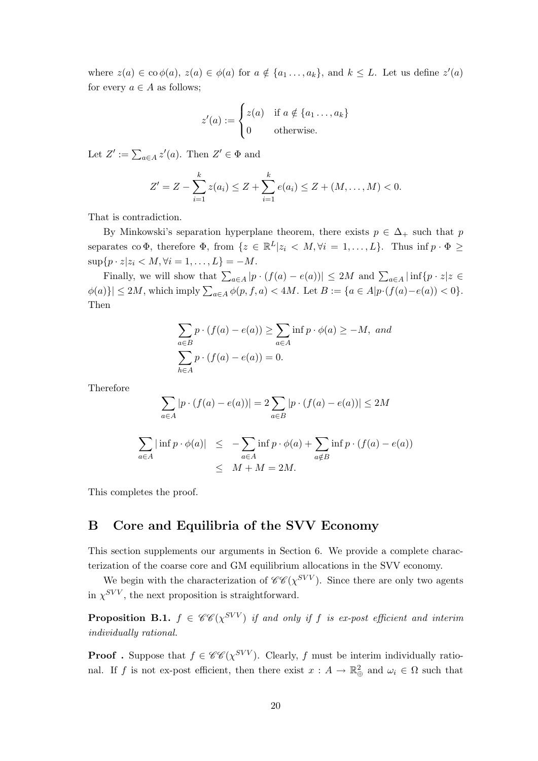where  $z(a) \in \text{co }\phi(a), z(a) \in \phi(a)$  for  $a \notin \{a_1, \ldots, a_k\}$ , and  $k \leq L$ . Let us define  $z'(a)$ for every  $a \in A$  as follows;

$$
z'(a) := \begin{cases} z(a) & \text{if } a \notin \{a_1 \dots, a_k\} \\ 0 & \text{otherwise.} \end{cases}
$$

Let  $Z' := \sum_{a \in A} z'(a)$ . Then  $Z' \in \Phi$  and

$$
Z' = Z - \sum_{i=1}^{k} z(a_i) \leq Z + \sum_{i=1}^{k} e(a_i) \leq Z + (M, \dots, M) < 0.
$$

That is contradiction.

By Minkowski's separation hyperplane theorem, there exists  $p \in \Delta_+$  such that *p* separates co  $\Phi$ , therefore  $\Phi$ , from  $\{z \in \mathbb{R}^L | z_i \langle M, \forall i = 1, ..., L\}$ . Thus inf  $p \cdot \Phi \ge$  $\sup\{p \cdot z | z_i \le M, \forall i = 1, \ldots, L\} = -M.$ 

Finally, we will show that  $\sum_{a\in A} |p \cdot (f(a) - e(a))| \le 2M$  and  $\sum_{a\in A} |\inf \{p \cdot z | z \in A\}|$  $\phi(a)\}\leq 2M$ , which imply  $\sum_{a\in A}\phi(p, f, a) < 4M$ . Let  $B := \{a \in A|p\cdot(f(a) - e(a)) < 0\}$ . Then

$$
\sum_{a \in B} p \cdot (f(a) - e(a)) \ge \sum_{a \in A} \inf p \cdot \phi(a) \ge -M, \text{ and}
$$

$$
\sum_{h \in A} p \cdot (f(a) - e(a)) = 0.
$$

Therefore

$$
\sum_{a \in A} |p \cdot (f(a) - e(a))| = 2 \sum_{a \in B} |p \cdot (f(a) - e(a))| \le 2M
$$

$$
\sum_{a \in A} |\inf p \cdot \phi(a)| \leq -\sum_{a \in A} \inf p \cdot \phi(a) + \sum_{a \notin B} \inf p \cdot (f(a) - e(a))
$$
  

$$
\leq M + M = 2M.
$$

This completes the proof.

## **B Core and Equilibria of the SVV Economy**

This section supplements our arguments in Section 6. We provide a complete characterization of the coarse core and GM equilibrium allocations in the SVV economy.

We begin with the characterization of  $\mathscr{C}\mathscr{C}(\chi^{SVV})$ . Since there are only two agents in  $\chi^{SVV}$ , the next proposition is straightforward.

**Proposition B.1.**  $f \in \mathscr{CC}(\chi^{\text{SVV}})$  if and only if *f* is ex-post efficient and interim *individually rational.*

**Proof** . Suppose that  $f \in \mathcal{CC}(\chi^{SVV})$ . Clearly, f must be interim individually rational. If *f* is not ex-post efficient, then there exist  $x : A \to \mathbb{R}^2$  and  $\omega_i \in \Omega$  such that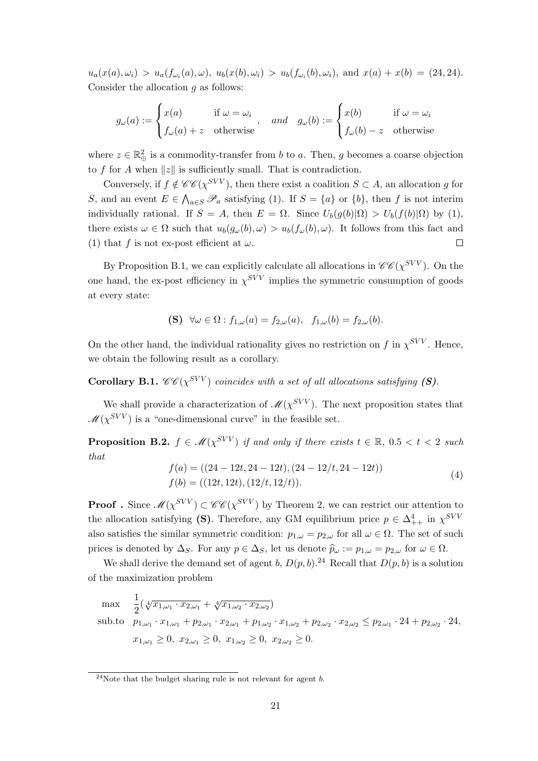$u_a(x(a), \omega_i) > u_a(f_{\omega_i}(a), \omega), u_b(x(b), \omega_i) > u_b(f_{\omega_i}(b), \omega_i)$ , and  $x(a) + x(b) = (24, 24)$ . Consider the allocation *g* as follows:

$$
g_{\omega}(a) := \begin{cases} x(a) & \text{if } \omega = \omega_i \\ f_{\omega}(a) + z & \text{otherwise} \end{cases}, \quad and \quad g_{\omega}(b) := \begin{cases} x(b) & \text{if } \omega = \omega_i \\ f_{\omega}(b) - z & \text{otherwise} \end{cases}
$$

where  $z \in \mathbb{R}^2_{\oplus}$  is a commodity-transfer from *b* to *a*. Then, *g* becomes a coarse objection to *f* for *A* when  $||z||$  is sufficiently small. That is contradiction.

Conversely, if  $f \notin \mathscr{C}\mathscr{C}(\chi^{SVV})$ , then there exist a coalition  $S \subset A$ , an allocation g for S, and an event  $E \in \bigwedge_{a \in S} \mathscr{P}_a$  satisfying (1). If  $S = \{a\}$  or  $\{b\}$ , then f is not interim individually rational. If  $S = A$ , then  $E = \Omega$ . Since  $U_b(g(b)|\Omega) > U_b(f(b)|\Omega)$  by (1), there exists  $\omega \in \Omega$  such that  $u_b(g_\omega(b), \omega) > u_b(f_\omega(b), \omega)$ . It follows from this fact and (1) that *f* is not ex-post efficient at  $\omega$ .  $\Box$ 

By Proposition B.1, we can explicitly calculate all allocations in  $\mathscr{C}\mathscr{C}(\chi^{SVV})$ . On the one hand, the ex-post efficiency in  $\chi^{SVV}$  implies the symmetric consumption of goods at every state:

$$
\textbf{(S)}\ \ \forall \omega \in \Omega: f_{1,\omega}(a) = f_{2,\omega}(a), \ \ f_{1,\omega}(b) = f_{2,\omega}(b).
$$

On the other hand, the individual rationality gives no restriction on  $f$  in  $\chi^{SVV}$ . Hence, we obtain the following result as a corollary.

**Corollary B.1.**  $\mathscr{C}\mathscr{C}(\chi^{SVV})$  *coincides with a set of all allocations satisfying* (S).

We shall provide a characterization of  $\mathcal{M}(\chi^{SVV})$ . The next proposition states that  $\mathscr{M}(\chi^{SVV})$  is a "one-dimensional curve" in the feasible set.

**Proposition B.2.**  $f \in \mathcal{M}(\chi^{SVV})$  if and only if there exists  $t \in \mathbb{R}$ , 0.5  $lt t < 2$  such *that*

$$
f(a) = ((24 - 12t, 24 - 12t), (24 - 12/t, 24 - 12t))
$$
  
\n
$$
f(b) = ((12t, 12t), (12/t, 12/t)).
$$
\n(4)

**Proof** . Since  $\mathscr{M}(\chi^{SVV}) \subset \mathscr{CC}(\chi^{SVV})$  by Theorem 2, we can restrict our attention to the allocation satisfying **(S)**. Therefore, any GM equilibrium price  $p \in \Delta_{++}^4$  in  $\chi^{SVV}$ also satisfies the similar symmetric condition:  $p_{1,\omega} = p_{2,\omega}$  for all  $\omega \in \Omega$ . The set of such prices is denoted by  $\Delta_S$ . For any  $p \in \Delta_S$ , let us denote  $\hat{p}_\omega := p_{1,\omega} = p_{2,\omega}$  for  $\omega \in \Omega$ .

We shall derive the demand set of agent *b*,  $D(p, b)$ .<sup>24</sup> Recall that  $D(p, b)$  is a solution of the maximization problem

$$
\max \frac{1}{2} (\sqrt[4]{x_{1,\omega_1} \cdot x_{2,\omega_1}} + \sqrt[4]{x_{1,\omega_2} \cdot x_{2,\omega_2}})
$$
\n
$$
\text{sub.to} \quad p_{1,\omega_1} \cdot x_{1,\omega_1} + p_{2,\omega_1} \cdot x_{2,\omega_1} + p_{1,\omega_2} \cdot x_{1,\omega_2} + p_{2,\omega_2} \cdot x_{2,\omega_2} \le p_{2,\omega_1} \cdot 24 + p_{2,\omega_2} \cdot 24,
$$
\n
$$
x_{1,\omega_1} \ge 0, \ x_{2,\omega_1} \ge 0, \ x_{1,\omega_2} \ge 0, \ x_{2,\omega_2} \ge 0.
$$

<sup>24</sup>Note that the budget sharing rule is not relevant for agent *b*.